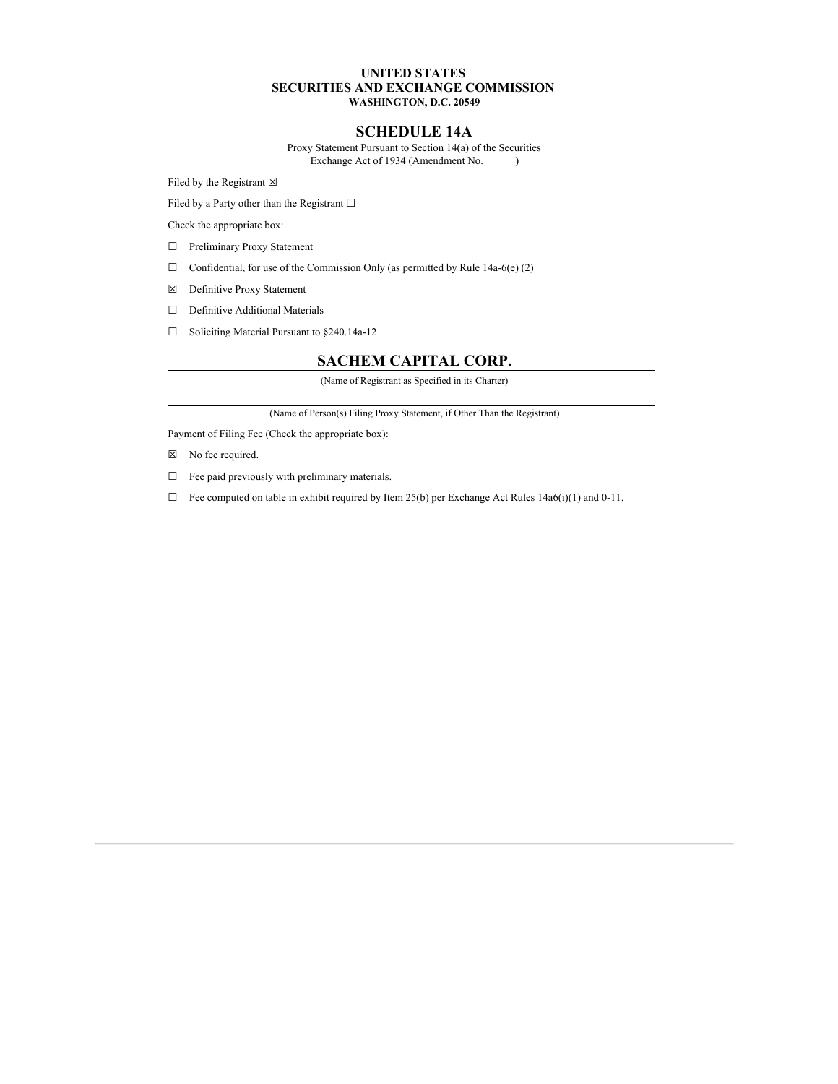## **UNITED STATES SECURITIES AND EXCHANGE COMMISSION WASHINGTON, D.C. 20549**

## **SCHEDULE 14A**

Proxy Statement Pursuant to Section 14(a) of the Securities Exchange Act of 1934 (Amendment No. )

Filed by the Registrant  $\boxtimes$ 

Filed by a Party other than the Registrant  $\Box$ 

Check the appropriate box:

- □ Preliminary Proxy Statement
- $\Box$  Confidential, for use of the Commission Only (as permitted by Rule 14a-6(e) (2)
- ☒ Definitive Proxy Statement
- □ Definitive Additional Materials
- ☐ Soliciting Material Pursuant to §240.14a-12

## **SACHEM CAPITAL CORP.**

(Name of Registrant as Specified in its Charter)

(Name of Person(s) Filing Proxy Statement, if Other Than the Registrant)

Payment of Filing Fee (Check the appropriate box):

- ☒ No fee required.
- $\Box$  Fee paid previously with preliminary materials.
- $\Box$  Fee computed on table in exhibit required by Item 25(b) per Exchange Act Rules 14a6(i)(1) and 0-11.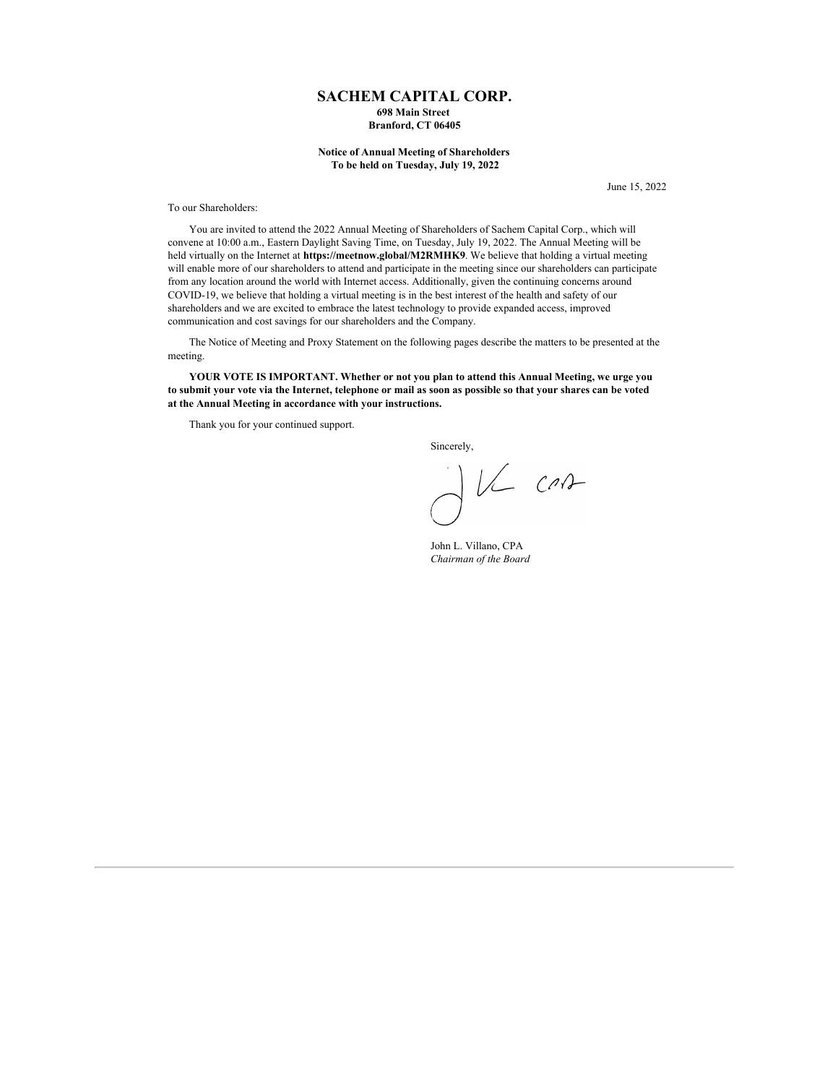## **SACHEM CAPITAL CORP. 698 Main Street Branford, CT 06405**

## **Notice of Annual Meeting of Shareholders To be held on Tuesday, July 19, 2022**

June 15, 2022

### To our Shareholders:

You are invited to attend the 2022 Annual Meeting of Shareholders of Sachem Capital Corp., which will convene at 10:00 a.m., Eastern Daylight Saving Time, on Tuesday, July 19, 2022. The Annual Meeting will be held virtually on the Internet at **https://meetnow.global/M2RMHK9**. We believe that holding a virtual meeting will enable more of our shareholders to attend and participate in the meeting since our shareholders can participate from any location around the world with Internet access. Additionally, given the continuing concerns around COVID-19, we believe that holding a virtual meeting is in the best interest of the health and safety of our shareholders and we are excited to embrace the latest technology to provide expanded access, improved communication and cost savings for our shareholders and the Company.

The Notice of Meeting and Proxy Statement on the following pages describe the matters to be presented at the meeting.

**YOUR VOTE IS IMPORTANT. Whether or not you plan to attend this Annual Meeting, we urge you** to submit your vote via the Internet, telephone or mail as soon as possible so that your shares can be voted **at the Annual Meeting in accordance with your instructions.**

Thank you for your continued support.

Sincerely,

 $JVI$  can

John L. Villano, CPA *Chairman of the Board*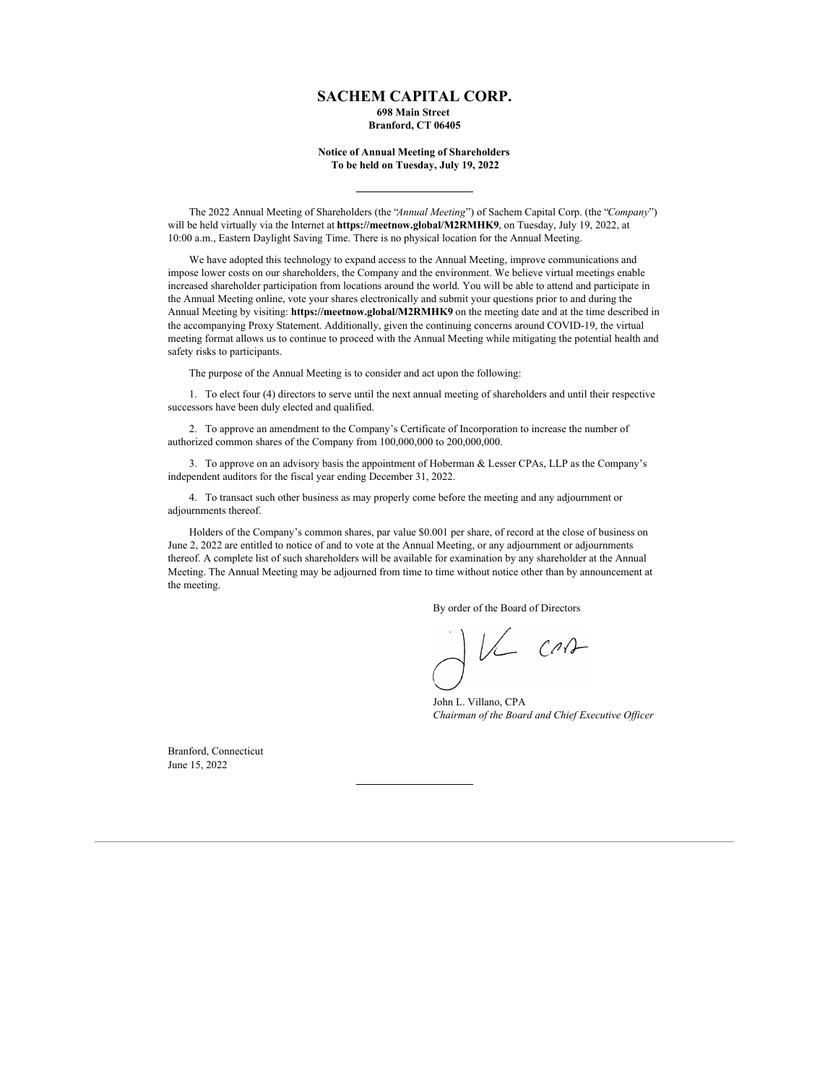# **SACHEM CAPITAL CORP.**

**698 Main Street Branford, CT 06405**

## **Notice of Annual Meeting of Shareholders To be held on Tuesday, July 19, 2022**

The 2022 Annual Meeting of Shareholders (the "*Annual Meeting*") of Sachem Capital Corp. (the "*Company*") will be held virtually via the Internet at **https://meetnow.global/M2RMHK9**, on Tuesday, July 19, 2022, at 10:00 a.m., Eastern Daylight Saving Time. There is no physical location for the Annual Meeting.

We have adopted this technology to expand access to the Annual Meeting, improve communications and impose lower costs on our shareholders, the Company and the environment. We believe virtual meetings enable increased shareholder participation from locations around the world. You will be able to attend and participate in the Annual Meeting online, vote your shares electronically and submit your questions prior to and during the Annual Meeting by visiting: **https://meetnow.global/M2RMHK9** on the meeting date and at the time described in the accompanying Proxy Statement. Additionally, given the continuing concerns around COVID-19, the virtual meeting format allows us to continue to proceed with the Annual Meeting while mitigating the potential health and safety risks to participants.

The purpose of the Annual Meeting is to consider and act upon the following:

1. To elect four (4) directors to serve until the next annual meeting of shareholders and until their respective successors have been duly elected and qualified.

2. To approve an amendment to the Company's Certificate of Incorporation to increase the number of authorized common shares of the Company from 100,000,000 to 200,000,000.

3. To approve on an advisory basis the appointment of Hoberman & Lesser CPAs, LLP as the Company's independent auditors for the fiscal year ending December 31, 2022.

4. To transact such other business as may properly come before the meeting and any adjournment or adjournments thereof.

Holders of the Company's common shares, par value \$0.001 per share, of record at the close of business on June 2, 2022 are entitled to notice of and to vote at the Annual Meeting, or any adjournment or adjournments thereof. A complete list of such shareholders will be available for examination by any shareholder at the Annual Meeting. The Annual Meeting may be adjourned from time to time without notice other than by announcement at the meeting.

By order of the Board of Directors

VL CAA

John L. Villano, CPA *Chairman of the Board and Chief Executive Of icer*

Branford, Connecticut June 15, 2022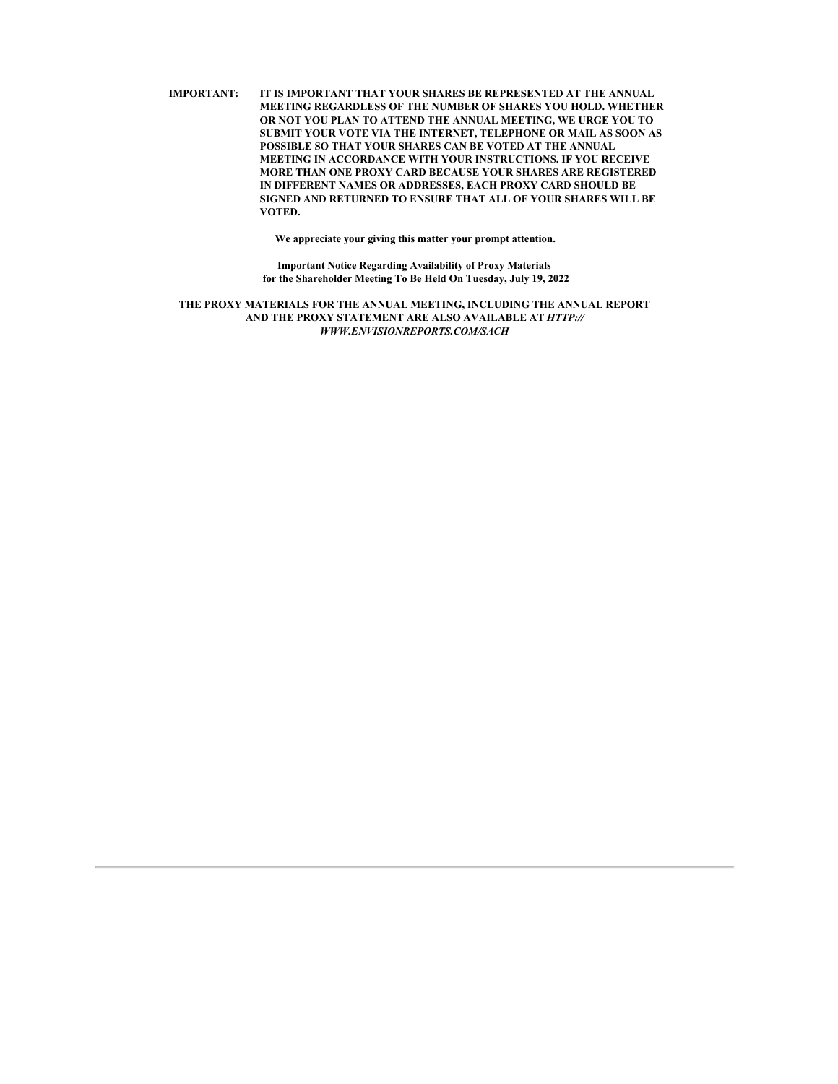**IMPORTANT: IT IS IMPORTANT THAT YOUR SHARES BE REPRESENTED AT THE ANNUAL MEETING REGARDLESS OF THE NUMBER OF SHARES YOU HOLD. WHETHER OR NOT YOU PLAN TO ATTEND THE ANNUAL MEETING, WE URGE YOU TO SUBMIT YOUR VOTE VIA THE INTERNET, TELEPHONE OR MAIL AS SOON AS POSSIBLE SO THAT YOUR SHARES CAN BE VOTED AT THE ANNUAL MEETING IN ACCORDANCE WITH YOUR INSTRUCTIONS. IF YOU RECEIVE MORE THAN ONE PROXY CARD BECAUSE YOUR SHARES ARE REGISTERED IN DIFFERENT NAMES OR ADDRESSES, EACH PROXY CARD SHOULD BE SIGNED AND RETURNED TO ENSURE THAT ALL OF YOUR SHARES WILL BE VOTED.**

**We appreciate your giving this matter your prompt attention.**

**Important Notice Regarding Availability of Proxy Materials for the Shareholder Meeting To Be Held On Tuesday, July 19, 2022**

**THE PROXY MATERIALS FOR THE ANNUAL MEETING, INCLUDING THE ANNUAL REPORT AND THE PROXY STATEMENT ARE ALSO AVAILABLE AT** *HTTP:// WWW.ENVISIONREPORTS.COM/SACH*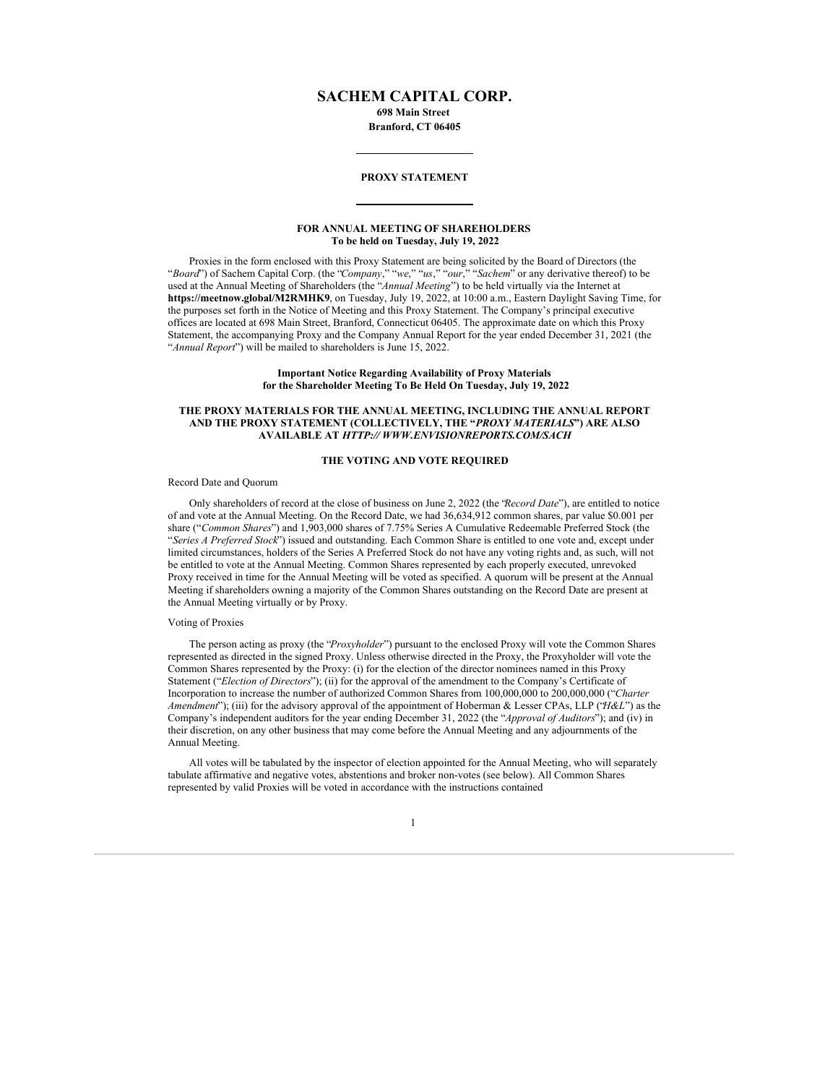## **SACHEM CAPITAL CORP.**

**698 Main Street Branford, CT 06405**

### **PROXY STATEMENT**

## **FOR ANNUAL MEETING OF SHAREHOLDERS To be held on Tuesday, July 19, 2022**

Proxies in the form enclosed with this Proxy Statement are being solicited by the Board of Directors (the "*Board*") of Sachem Capital Corp. (the "*Company*," "*we*," "*us*," "*our*," "*Sachem*" or any derivative thereof) to be used at the Annual Meeting of Shareholders (the "*Annual Meeting*") to be held virtually via the Internet at **https://meetnow.global/M2RMHK9**, on Tuesday, July 19, 2022, at 10:00 a.m., Eastern Daylight Saving Time, for the purposes set forth in the Notice of Meeting and this Proxy Statement. The Company's principal executive offices are located at 698 Main Street, Branford, Connecticut 06405. The approximate date on which this Proxy Statement, the accompanying Proxy and the Company Annual Report for the year ended December 31, 2021 (the "*Annual Report*") will be mailed to shareholders is June 15, 2022.

## **Important Notice Regarding Availability of Proxy Materials for the Shareholder Meeting To Be Held On Tuesday, July 19, 2022**

### **THE PROXY MATERIALS FOR THE ANNUAL MEETING, INCLUDING THE ANNUAL REPORT AND THE PROXY STATEMENT (COLLECTIVELY, THE "***PROXY MATERIALS***") ARE ALSO AVAILABLE AT** *HTTP:// WWW.ENVISIONREPORTS.COM/SACH*

## **THE VOTING AND VOTE REQUIRED**

### Record Date and Quorum

Only shareholders of record at the close of business on June 2, 2022 (the "*Record Date*"), are entitled to notice of and vote at the Annual Meeting. On the Record Date, we had 36,634,912 common shares, par value \$0.001 per share ("*Common Shares*") and 1,903,000 shares of 7.75% Series A Cumulative Redeemable Preferred Stock (the "*Series A Preferred Stock*") issued and outstanding. Each Common Share is entitled to one vote and, except under limited circumstances, holders of the Series A Preferred Stock do not have any voting rights and, as such, will not be entitled to vote at the Annual Meeting. Common Shares represented by each properly executed, unrevoked Proxy received in time for the Annual Meeting will be voted as specified. A quorum will be present at the Annual Meeting if shareholders owning a majority of the Common Shares outstanding on the Record Date are present at the Annual Meeting virtually or by Proxy.

## Voting of Proxies

The person acting as proxy (the "*Proxyholder*") pursuant to the enclosed Proxy will vote the Common Shares represented as directed in the signed Proxy. Unless otherwise directed in the Proxy, the Proxyholder will vote the Common Shares represented by the Proxy: (i) for the election of the director nominees named in this Proxy Statement ("*Election of Directors*"); (ii) for the approval of the amendment to the Company's Certificate of Incorporation to increase the number of authorized Common Shares from 100,000,000 to 200,000,000 ("*Charter Amendment*"); (iii) for the advisory approval of the appointment of Hoberman & Lesser CPAs, LLP ("*H&L*") as the Company's independent auditors for the year ending December 31, 2022 (the "*Approval of Auditors*"); and (iv) in their discretion, on any other business that may come before the Annual Meeting and any adjournments of the Annual Meeting.

All votes will be tabulated by the inspector of election appointed for the Annual Meeting, who will separately tabulate affirmative and negative votes, abstentions and broker non-votes (see below). All Common Shares represented by valid Proxies will be voted in accordance with the instructions contained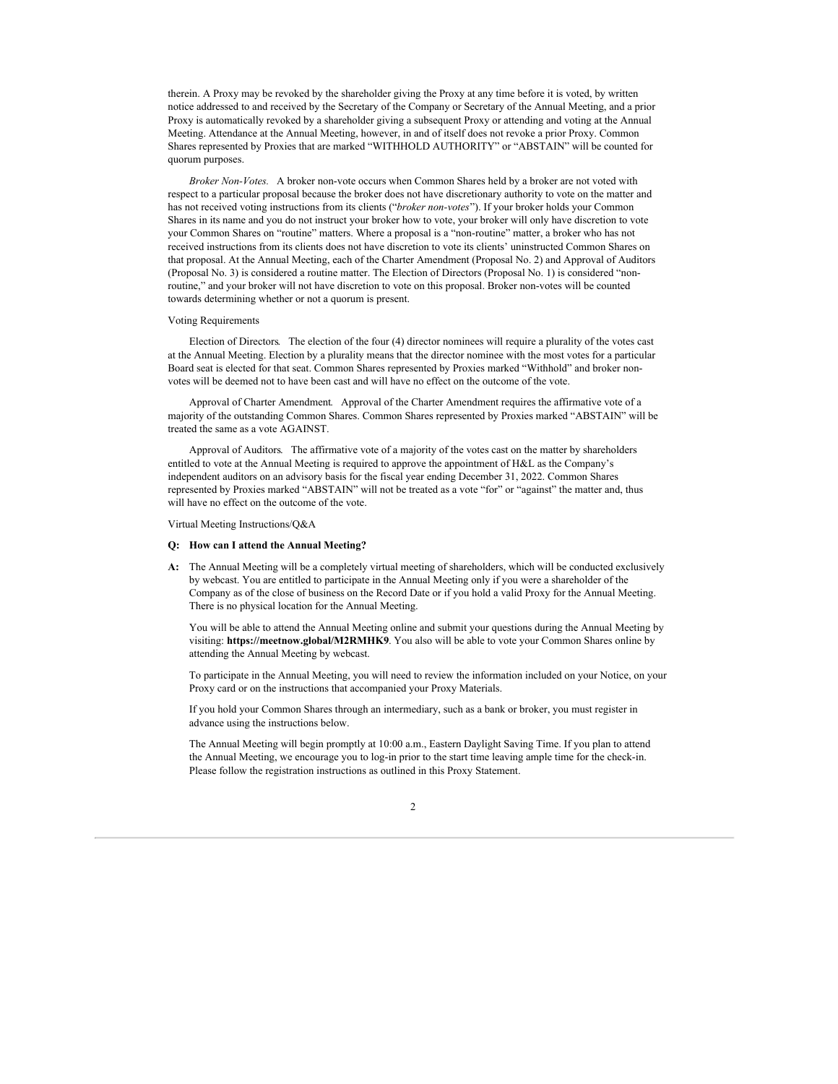therein. A Proxy may be revoked by the shareholder giving the Proxy at any time before it is voted, by written notice addressed to and received by the Secretary of the Company or Secretary of the Annual Meeting, and a prior Proxy is automatically revoked by a shareholder giving a subsequent Proxy or attending and voting at the Annual Meeting. Attendance at the Annual Meeting, however, in and of itself does not revoke a prior Proxy. Common Shares represented by Proxies that are marked "WITHHOLD AUTHORITY" or "ABSTAIN" will be counted for quorum purposes.

*Broker Non-Votes.* A broker non-vote occurs when Common Shares held by a broker are not voted with respect to a particular proposal because the broker does not have discretionary authority to vote on the matter and has not received voting instructions from its clients ("*broker non-votes*"). If your broker holds your Common Shares in its name and you do not instruct your broker how to vote, your broker will only have discretion to vote your Common Shares on "routine" matters. Where a proposal is a "non-routine" matter, a broker who has not received instructions from its clients does not have discretion to vote its clients' uninstructed Common Shares on that proposal. At the Annual Meeting, each of the Charter Amendment (Proposal No. 2) and Approval of Auditors (Proposal No. 3) is considered a routine matter. The Election of Directors (Proposal No. 1) is considered "nonroutine," and your broker will not have discretion to vote on this proposal. Broker non-votes will be counted towards determining whether or not a quorum is present.

#### Voting Requirements

Election of Directors. The election of the four (4) director nominees will require a plurality of the votes cast at the Annual Meeting. Election by a plurality means that the director nominee with the most votes for a particular Board seat is elected for that seat. Common Shares represented by Proxies marked "Withhold" and broker nonvotes will be deemed not to have been cast and will have no effect on the outcome of the vote.

Approval of Charter Amendment. Approval of the Charter Amendment requires the affirmative vote of a majority of the outstanding Common Shares. Common Shares represented by Proxies marked "ABSTAIN" will be treated the same as a vote AGAINST.

Approval of Auditors. The affirmative vote of a majority of the votes cast on the matter by shareholders entitled to vote at the Annual Meeting is required to approve the appointment of H&L as the Company's independent auditors on an advisory basis for the fiscal year ending December 31, 2022. Common Shares represented by Proxies marked "ABSTAIN" will not be treated as a vote "for" or "against" the matter and, thus will have no effect on the outcome of the vote.

Virtual Meeting Instructions/Q&A

#### **Q: How can I attend the Annual Meeting?**

**A:** The Annual Meeting will be a completely virtual meeting of shareholders, which will be conducted exclusively by webcast. You are entitled to participate in the Annual Meeting only if you were a shareholder of the Company as of the close of business on the Record Date or if you hold a valid Proxy for the Annual Meeting. There is no physical location for the Annual Meeting.

You will be able to attend the Annual Meeting online and submit your questions during the Annual Meeting by visiting: **https://meetnow.global/M2RMHK9**. You also will be able to vote your Common Shares online by attending the Annual Meeting by webcast.

To participate in the Annual Meeting, you will need to review the information included on your Notice, on your Proxy card or on the instructions that accompanied your Proxy Materials.

If you hold your Common Shares through an intermediary, such as a bank or broker, you must register in advance using the instructions below.

The Annual Meeting will begin promptly at 10:00 a.m., Eastern Daylight Saving Time. If you plan to attend the Annual Meeting, we encourage you to log-in prior to the start time leaving ample time for the check-in. Please follow the registration instructions as outlined in this Proxy Statement.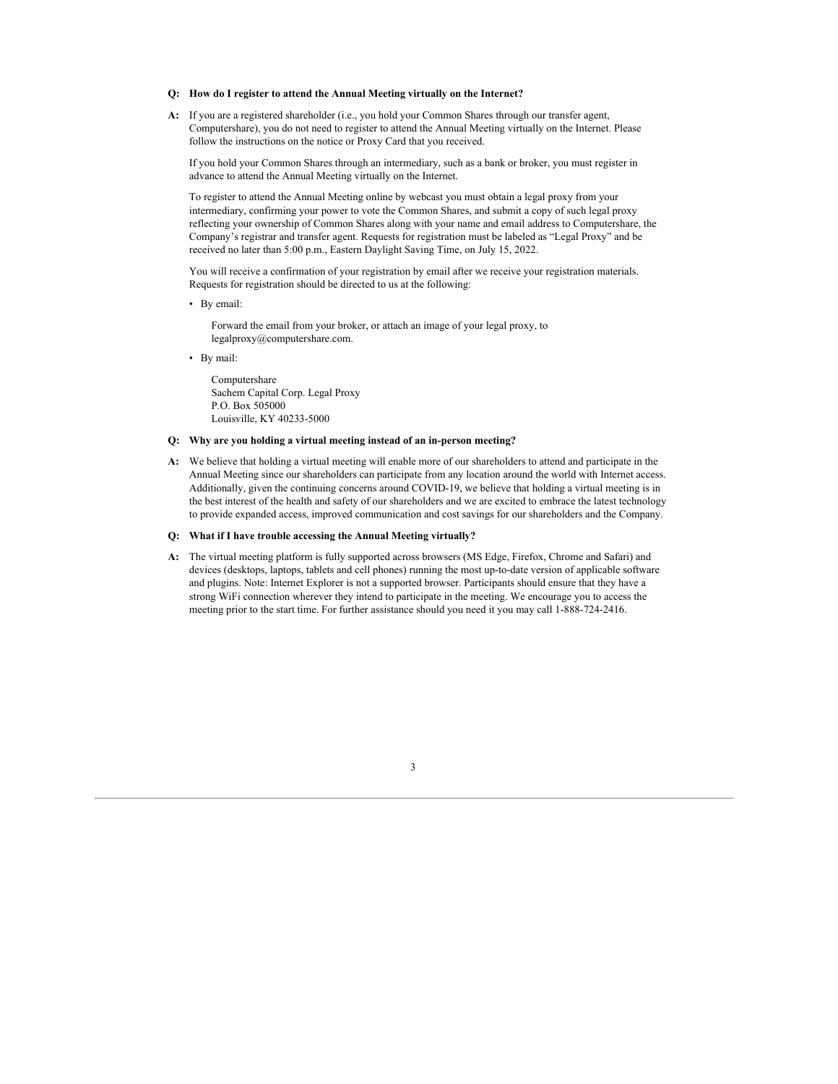#### **Q: How do I register to attend the Annual Meeting virtually on the Internet?**

**A:** If you are a registered shareholder (i.e., you hold your Common Shares through our transfer agent, Computershare), you do not need to register to attend the Annual Meeting virtually on the Internet. Please follow the instructions on the notice or Proxy Card that you received.

If you hold your Common Shares through an intermediary, such as a bank or broker, you must register in advance to attend the Annual Meeting virtually on the Internet.

To register to attend the Annual Meeting online by webcast you must obtain a legal proxy from your intermediary, confirming your power to vote the Common Shares, and submit a copy of such legal proxy reflecting your ownership of Common Shares along with your name and email address to Computershare, the Company's registrar and transfer agent. Requests for registration must be labeled as "Legal Proxy" and be received no later than 5:00 p.m., Eastern Daylight Saving Time, on July 15, 2022.

You will receive a confirmation of your registration by email after we receive your registration materials. Requests for registration should be directed to us at the following:

• By email:

Forward the email from your broker, or attach an image of your legal proxy, to legalproxy@computershare.com.

• By mail:

Computershare Sachem Capital Corp. Legal Proxy P.O. Box 505000 Louisville, KY 40233-5000

#### **Q: Why are you holding a virtual meeting instead of an in-person meeting?**

**A:** We believe that holding a virtual meeting will enable more of our shareholders to attend and participate in the Annual Meeting since our shareholders can participate from any location around the world with Internet access. Additionally, given the continuing concerns around COVID-19, we believe that holding a virtual meeting is in the best interest of the health and safety of our shareholders and we are excited to embrace the latest technology to provide expanded access, improved communication and cost savings for our shareholders and the Company.

#### **Q: What if I have trouble accessing the Annual Meeting virtually?**

**A:** The virtual meeting platform is fully supported across browsers (MS Edge, Firefox, Chrome and Safari) and devices (desktops, laptops, tablets and cell phones) running the most up-to-date version of applicable software and plugins. Note: Internet Explorer is not a supported browser. Participants should ensure that they have a strong WiFi connection wherever they intend to participate in the meeting. We encourage you to access the meeting prior to the start time. For further assistance should you need it you may call 1-888-724-2416.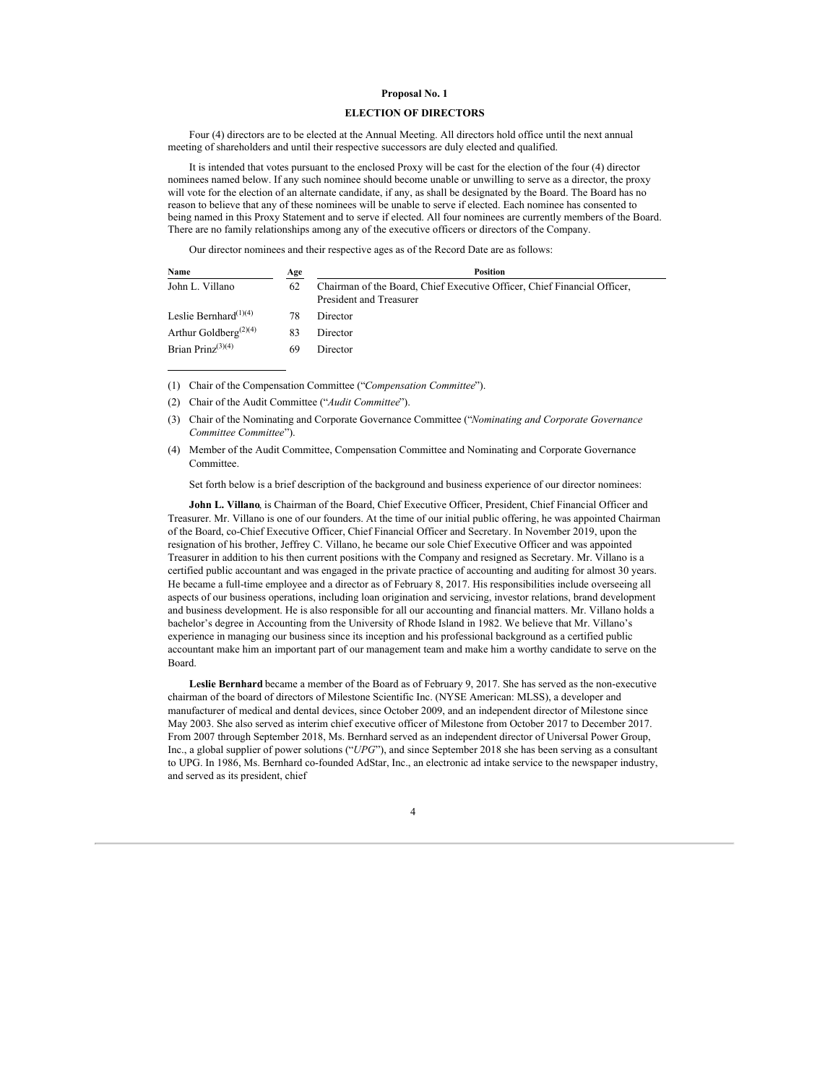## **Proposal No. 1**

## **ELECTION OF DIRECTORS**

Four (4) directors are to be elected at the Annual Meeting. All directors hold office until the next annual meeting of shareholders and until their respective successors are duly elected and qualified.

It is intended that votes pursuant to the enclosed Proxy will be cast for the election of the four (4) director nominees named below. If any such nominee should become unable or unwilling to serve as a director, the proxy will vote for the election of an alternate candidate, if any, as shall be designated by the Board. The Board has no reason to believe that any of these nominees will be unable to serve if elected. Each nominee has consented to being named in this Proxy Statement and to serve if elected. All four nominees are currently members of the Board. There are no family relationships among any of the executive officers or directors of the Company.

Our director nominees and their respective ages as of the Record Date are as follows:

| Name                                           | Age | <b>Position</b>                                                                                     |
|------------------------------------------------|-----|-----------------------------------------------------------------------------------------------------|
| John L. Villano                                | 62  | Chairman of the Board, Chief Executive Officer, Chief Financial Officer,<br>President and Treasurer |
| Leslie Bernhard $(1)(4)$                       | 78  | Director                                                                                            |
| Arthur Goldberg <sup><math>(2)(4)</math></sup> | 83  | Director                                                                                            |
| Brian Prinz $(3)(4)$                           | 69  | Director                                                                                            |

- (1) Chair of the Compensation Committee ("*Compensation Committee*").
- (2) Chair of the Audit Committee ("*Audit Committee*").
- (3) Chair of the Nominating and Corporate Governance Committee ("*Nominating and Corporate Governance Committee Committee*").

Set forth below is a brief description of the background and business experience of our director nominees:

**John L. Villano**, is Chairman of the Board, Chief Executive Officer, President, Chief Financial Officer and Treasurer. Mr. Villano is one of our founders. At the time of our initial public offering, he was appointed Chairman of the Board, co-Chief Executive Officer, Chief Financial Officer and Secretary. In November 2019, upon the resignation of his brother, Jeffrey C. Villano, he became our sole Chief Executive Officer and was appointed Treasurer in addition to his then current positions with the Company and resigned as Secretary. Mr. Villano is a certified public accountant and was engaged in the private practice of accounting and auditing for almost 30 years. He became a full-time employee and a director as of February 8, 2017. His responsibilities include overseeing all aspects of our business operations, including loan origination and servicing, investor relations, brand development and business development. He is also responsible for all our accounting and financial matters. Mr. Villano holds a bachelor's degree in Accounting from the University of Rhode Island in 1982. We believe that Mr. Villano's experience in managing our business since its inception and his professional background as a certified public accountant make him an important part of our management team and make him a worthy candidate to serve on the Board.

**Leslie Bernhard** became a member of the Board as of February 9, 2017. She has served as the non-executive chairman of the board of directors of Milestone Scientific Inc. (NYSE American: MLSS), a developer and manufacturer of medical and dental devices, since October 2009, and an independent director of Milestone since May 2003. She also served as interim chief executive officer of Milestone from October 2017 to December 2017. From 2007 through September 2018, Ms. Bernhard served as an independent director of Universal Power Group, Inc., a global supplier of power solutions ("*UPG*"), and since September 2018 she has been serving as a consultant to UPG. In 1986, Ms. Bernhard co-founded AdStar, Inc., an electronic ad intake service to the newspaper industry, and served as its president, chief



<sup>(4)</sup> Member of the Audit Committee, Compensation Committee and Nominating and Corporate Governance **Committee**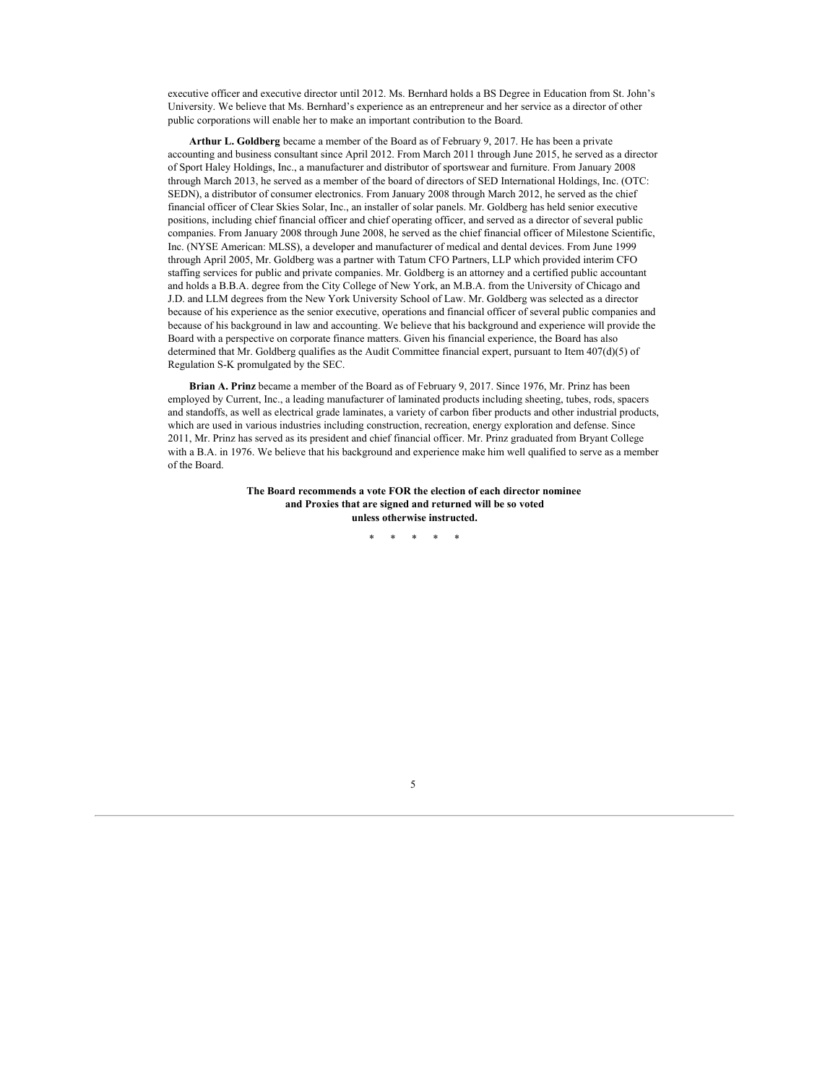executive officer and executive director until 2012. Ms. Bernhard holds a BS Degree in Education from St. John's University. We believe that Ms. Bernhard's experience as an entrepreneur and her service as a director of other public corporations will enable her to make an important contribution to the Board.

**Arthur L. Goldberg** became a member of the Board as of February 9, 2017. He has been a private accounting and business consultant since April 2012. From March 2011 through June 2015, he served as a director of Sport Haley Holdings, Inc., a manufacturer and distributor of sportswear and furniture. From January 2008 through March 2013, he served as a member of the board of directors of SED International Holdings, Inc. (OTC: SEDN), a distributor of consumer electronics. From January 2008 through March 2012, he served as the chief financial officer of Clear Skies Solar, Inc., an installer of solar panels. Mr. Goldberg has held senior executive positions, including chief financial officer and chief operating officer, and served as a director of several public companies. From January 2008 through June 2008, he served as the chief financial officer of Milestone Scientific, Inc. (NYSE American: MLSS), a developer and manufacturer of medical and dental devices. From June 1999 through April 2005, Mr. Goldberg was a partner with Tatum CFO Partners, LLP which provided interim CFO staffing services for public and private companies. Mr. Goldberg is an attorney and a certified public accountant and holds a B.B.A. degree from the City College of New York, an M.B.A. from the University of Chicago and J.D. and LLM degrees from the New York University School of Law. Mr. Goldberg was selected as a director because of his experience as the senior executive, operations and financial officer of several public companies and because of his background in law and accounting. We believe that his background and experience will provide the Board with a perspective on corporate finance matters. Given his financial experience, the Board has also determined that Mr. Goldberg qualifies as the Audit Committee financial expert, pursuant to Item 407(d)(5) of Regulation S-K promulgated by the SEC.

**Brian A. Prinz** became a member of the Board as of February 9, 2017. Since 1976, Mr. Prinz has been employed by Current, Inc., a leading manufacturer of laminated products including sheeting, tubes, rods, spacers and standoffs, as well as electrical grade laminates, a variety of carbon fiber products and other industrial products, which are used in various industries including construction, recreation, energy exploration and defense. Since 2011, Mr. Prinz has served as its president and chief financial officer. Mr. Prinz graduated from Bryant College with a B.A. in 1976. We believe that his background and experience make him well qualified to serve as a member of the Board.

> **The Board recommends a vote FOR the election of each director nominee and Proxies that are signed and returned will be so voted unless otherwise instructed.**

> > \* \* \* \* \*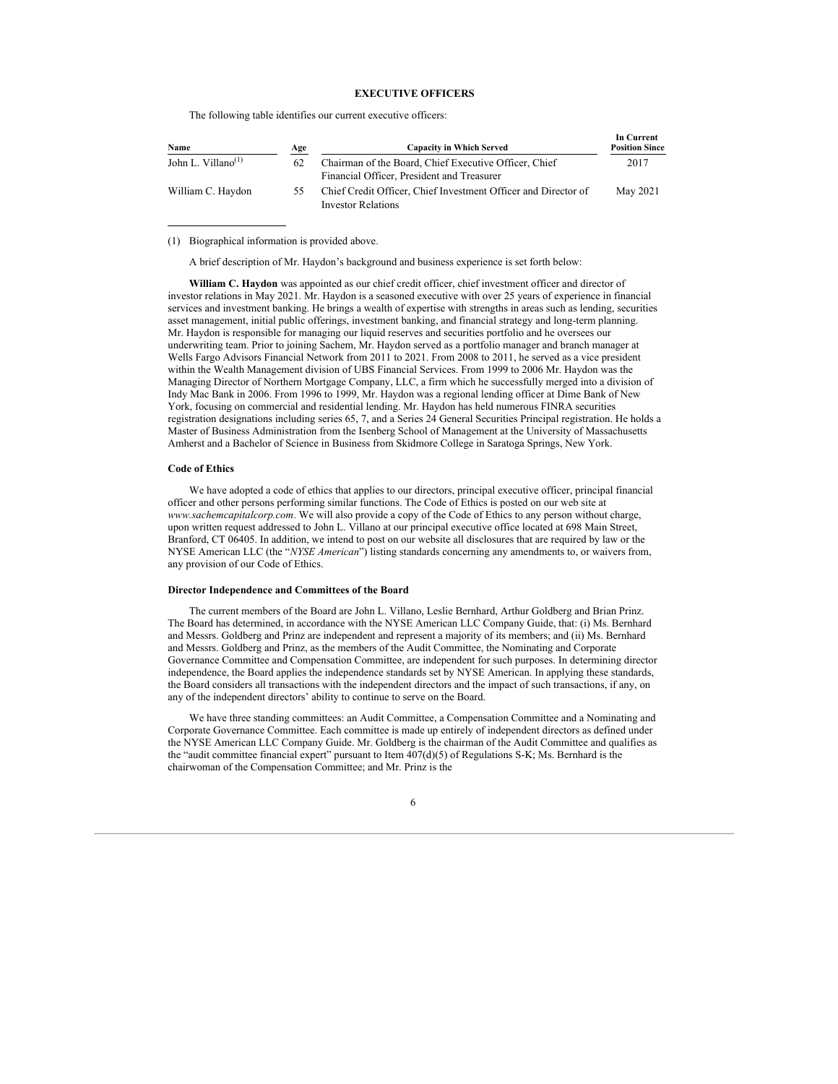## **EXECUTIVE OFFICERS**

The following table identifies our current executive officers:

| Name                                        | Age | <b>Capacity in Which Served</b>                                                                     | пгени<br><b>Position Since</b> |
|---------------------------------------------|-----|-----------------------------------------------------------------------------------------------------|--------------------------------|
| John L. Villano <sup><math>(1)</math></sup> | 62  | Chairman of the Board, Chief Executive Officer, Chief<br>Financial Officer, President and Treasurer | 2017                           |
| William C. Haydon                           | 55. | Chief Credit Officer, Chief Investment Officer and Director of<br><b>Investor Relations</b>         | May 2021                       |

**In Current**

(1) Biographical information is provided above.

A brief description of Mr. Haydon's background and business experience is set forth below:

**William C. Haydon** was appointed as our chief credit officer, chief investment officer and director of investor relations in May 2021. Mr. Haydon is a seasoned executive with over 25 years of experience in financial services and investment banking. He brings a wealth of expertise with strengths in areas such as lending, securities asset management, initial public offerings, investment banking, and financial strategy and long-term planning. Mr. Haydon is responsible for managing our liquid reserves and securities portfolio and he oversees our underwriting team. Prior to joining Sachem, Mr. Haydon served as a portfolio manager and branch manager at Wells Fargo Advisors Financial Network from 2011 to 2021. From 2008 to 2011, he served as a vice president within the Wealth Management division of UBS Financial Services. From 1999 to 2006 Mr. Haydon was the Managing Director of Northern Mortgage Company, LLC, a firm which he successfully merged into a division of Indy Mac Bank in 2006. From 1996 to 1999, Mr. Haydon was a regional lending officer at Dime Bank of New York, focusing on commercial and residential lending. Mr. Haydon has held numerous FINRA securities registration designations including series 65, 7, and a Series 24 General Securities Principal registration. He holds a Master of Business Administration from the Isenberg School of Management at the University of Massachusetts Amherst and a Bachelor of Science in Business from Skidmore College in Saratoga Springs, New York.

#### **Code of Ethics**

We have adopted a code of ethics that applies to our directors, principal executive officer, principal financial officer and other persons performing similar functions. The Code of Ethics is posted on our web site at *www.sachemcapitalcorp.com*. We will also provide a copy of the Code of Ethics to any person without charge, upon written request addressed to John L. Villano at our principal executive office located at 698 Main Street, Branford, CT 06405. In addition, we intend to post on our website all disclosures that are required by law or the NYSE American LLC (the "*NYSE American*") listing standards concerning any amendments to, or waivers from, any provision of our Code of Ethics.

## **Director Independence and Committees of the Board**

The current members of the Board are John L. Villano, Leslie Bernhard, Arthur Goldberg and Brian Prinz. The Board has determined, in accordance with the NYSE American LLC Company Guide, that: (i) Ms. Bernhard and Messrs. Goldberg and Prinz are independent and represent a majority of its members; and (ii) Ms. Bernhard and Messrs. Goldberg and Prinz, as the members of the Audit Committee, the Nominating and Corporate Governance Committee and Compensation Committee, are independent for such purposes. In determining director independence, the Board applies the independence standards set by NYSE American. In applying these standards, the Board considers all transactions with the independent directors and the impact of such transactions, if any, on any of the independent directors' ability to continue to serve on the Board.

We have three standing committees: an Audit Committee, a Compensation Committee and a Nominating and Corporate Governance Committee. Each committee is made up entirely of independent directors as defined under the NYSE American LLC Company Guide. Mr. Goldberg is the chairman of the Audit Committee and qualifies as the "audit committee financial expert" pursuant to Item 407(d)(5) of Regulations S-K; Ms. Bernhard is the chairwoman of the Compensation Committee; and Mr. Prinz is the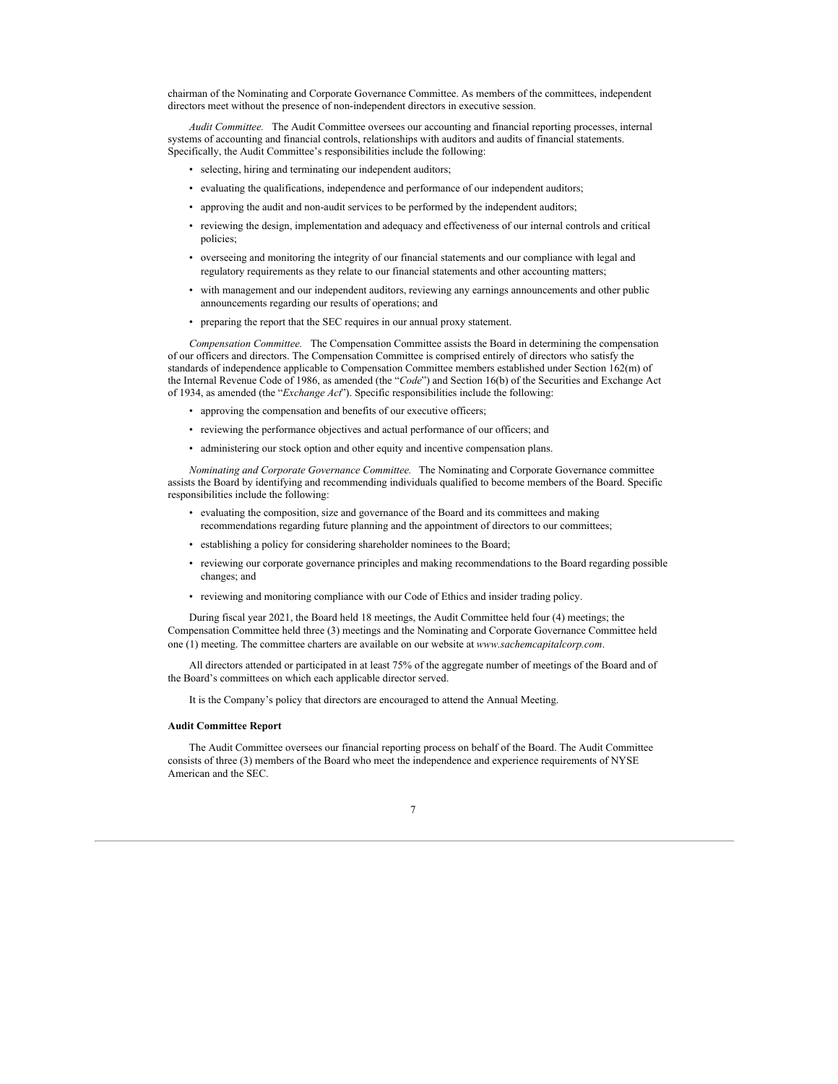chairman of the Nominating and Corporate Governance Committee. As members of the committees, independent directors meet without the presence of non-independent directors in executive session.

*Audit Committee.* The Audit Committee oversees our accounting and financial reporting processes, internal systems of accounting and financial controls, relationships with auditors and audits of financial statements. Specifically, the Audit Committee's responsibilities include the following:

- selecting, hiring and terminating our independent auditors;
- evaluating the qualifications, independence and performance of our independent auditors;
- approving the audit and non-audit services to be performed by the independent auditors;
- reviewing the design, implementation and adequacy and effectiveness of our internal controls and critical policies;
- overseeing and monitoring the integrity of our financial statements and our compliance with legal and regulatory requirements as they relate to our financial statements and other accounting matters;
- with management and our independent auditors, reviewing any earnings announcements and other public announcements regarding our results of operations; and
- preparing the report that the SEC requires in our annual proxy statement.

*Compensation Committee.* The Compensation Committee assists the Board in determining the compensation of our officers and directors. The Compensation Committee is comprised entirely of directors who satisfy the standards of independence applicable to Compensation Committee members established under Section 162(m) of the Internal Revenue Code of 1986, as amended (the "*Code*") and Section 16(b) of the Securities and Exchange Act of 1934, as amended (the "*Exchange Act*"). Specific responsibilities include the following:

- approving the compensation and benefits of our executive officers;
- reviewing the performance objectives and actual performance of our officers; and
- administering our stock option and other equity and incentive compensation plans.

*Nominating and Corporate Governance Committee.* The Nominating and Corporate Governance committee assists the Board by identifying and recommending individuals qualified to become members of the Board. Specific responsibilities include the following:

- evaluating the composition, size and governance of the Board and its committees and making recommendations regarding future planning and the appointment of directors to our committees;
- establishing a policy for considering shareholder nominees to the Board;
- reviewing our corporate governance principles and making recommendations to the Board regarding possible changes; and
- reviewing and monitoring compliance with our Code of Ethics and insider trading policy.

During fiscal year 2021, the Board held 18 meetings, the Audit Committee held four (4) meetings; the Compensation Committee held three (3) meetings and the Nominating and Corporate Governance Committee held one (1) meeting. The committee charters are available on our website at *www.sachemcapitalcorp.com*.

All directors attended or participated in at least 75% of the aggregate number of meetings of the Board and of the Board's committees on which each applicable director served.

It is the Company's policy that directors are encouraged to attend the Annual Meeting.

#### **Audit Committee Report**

The Audit Committee oversees our financial reporting process on behalf of the Board. The Audit Committee consists of three (3) members of the Board who meet the independence and experience requirements of NYSE American and the SEC.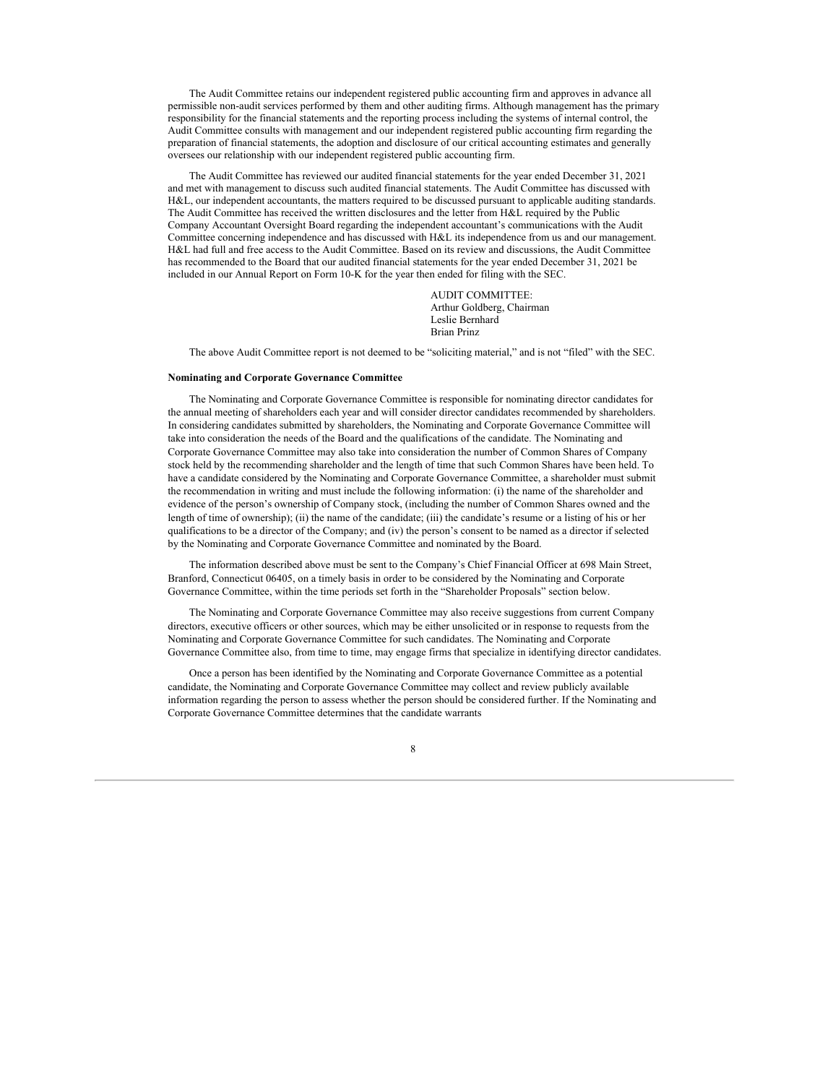The Audit Committee retains our independent registered public accounting firm and approves in advance all permissible non-audit services performed by them and other auditing firms. Although management has the primary responsibility for the financial statements and the reporting process including the systems of internal control, the Audit Committee consults with management and our independent registered public accounting firm regarding the preparation of financial statements, the adoption and disclosure of our critical accounting estimates and generally oversees our relationship with our independent registered public accounting firm.

The Audit Committee has reviewed our audited financial statements for the year ended December 31, 2021 and met with management to discuss such audited financial statements. The Audit Committee has discussed with H&L, our independent accountants, the matters required to be discussed pursuant to applicable auditing standards. The Audit Committee has received the written disclosures and the letter from H&L required by the Public Company Accountant Oversight Board regarding the independent accountant's communications with the Audit Committee concerning independence and has discussed with H&L its independence from us and our management. H&L had full and free access to the Audit Committee. Based on its review and discussions, the Audit Committee has recommended to the Board that our audited financial statements for the year ended December 31, 2021 be included in our Annual Report on Form 10-K for the year then ended for filing with the SEC.

> AUDIT COMMITTEE: Arthur Goldberg, Chairman Leslie Bernhard Brian Prinz

The above Audit Committee report is not deemed to be "soliciting material," and is not "filed" with the SEC.

#### **Nominating and Corporate Governance Committee**

The Nominating and Corporate Governance Committee is responsible for nominating director candidates for the annual meeting of shareholders each year and will consider director candidates recommended by shareholders. In considering candidates submitted by shareholders, the Nominating and Corporate Governance Committee will take into consideration the needs of the Board and the qualifications of the candidate. The Nominating and Corporate Governance Committee may also take into consideration the number of Common Shares of Company stock held by the recommending shareholder and the length of time that such Common Shares have been held. To have a candidate considered by the Nominating and Corporate Governance Committee, a shareholder must submit the recommendation in writing and must include the following information: (i) the name of the shareholder and evidence of the person's ownership of Company stock, (including the number of Common Shares owned and the length of time of ownership); (ii) the name of the candidate; (iii) the candidate's resume or a listing of his or her qualifications to be a director of the Company; and (iv) the person's consent to be named as a director if selected by the Nominating and Corporate Governance Committee and nominated by the Board.

The information described above must be sent to the Company's Chief Financial Officer at 698 Main Street, Branford, Connecticut 06405, on a timely basis in order to be considered by the Nominating and Corporate Governance Committee, within the time periods set forth in the "Shareholder Proposals" section below.

The Nominating and Corporate Governance Committee may also receive suggestions from current Company directors, executive officers or other sources, which may be either unsolicited or in response to requests from the Nominating and Corporate Governance Committee for such candidates. The Nominating and Corporate Governance Committee also, from time to time, may engage firms that specialize in identifying director candidates.

Once a person has been identified by the Nominating and Corporate Governance Committee as a potential candidate, the Nominating and Corporate Governance Committee may collect and review publicly available information regarding the person to assess whether the person should be considered further. If the Nominating and Corporate Governance Committee determines that the candidate warrants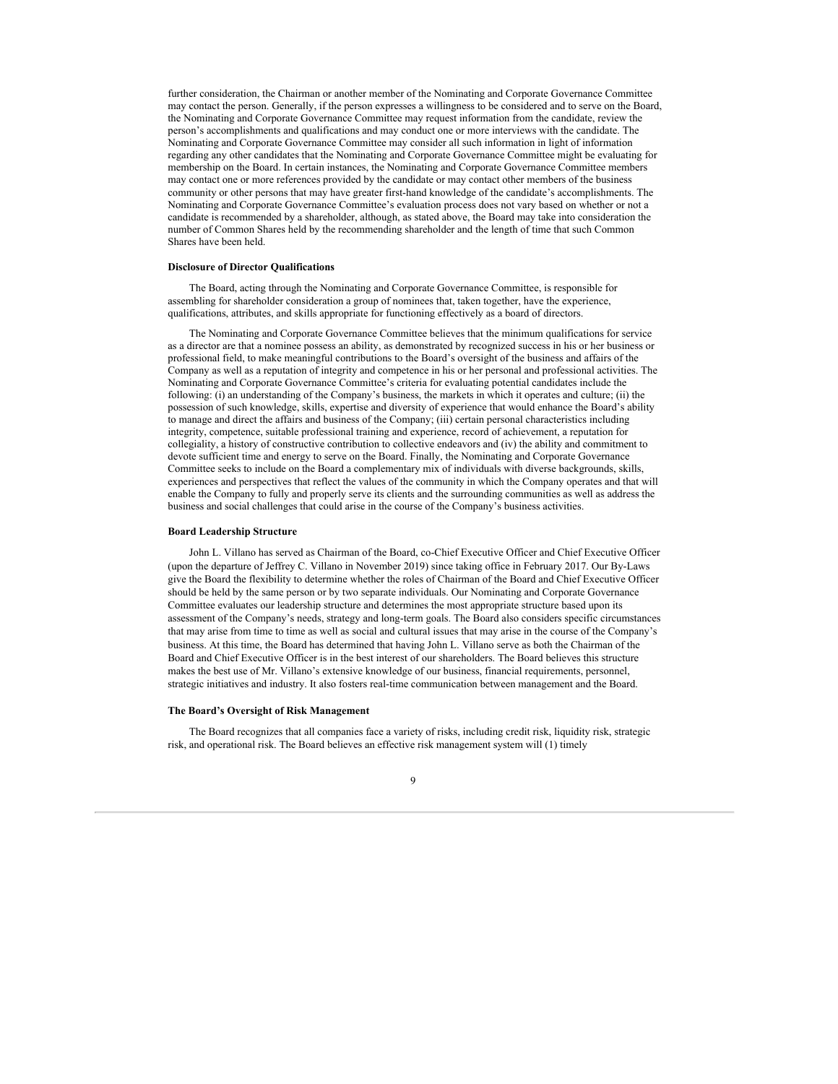further consideration, the Chairman or another member of the Nominating and Corporate Governance Committee may contact the person. Generally, if the person expresses a willingness to be considered and to serve on the Board, the Nominating and Corporate Governance Committee may request information from the candidate, review the person's accomplishments and qualifications and may conduct one or more interviews with the candidate. The Nominating and Corporate Governance Committee may consider all such information in light of information regarding any other candidates that the Nominating and Corporate Governance Committee might be evaluating for membership on the Board. In certain instances, the Nominating and Corporate Governance Committee members may contact one or more references provided by the candidate or may contact other members of the business community or other persons that may have greater first-hand knowledge of the candidate's accomplishments. The Nominating and Corporate Governance Committee's evaluation process does not vary based on whether or not a candidate is recommended by a shareholder, although, as stated above, the Board may take into consideration the number of Common Shares held by the recommending shareholder and the length of time that such Common Shares have been held.

#### **Disclosure of Director Qualifications**

The Board, acting through the Nominating and Corporate Governance Committee, is responsible for assembling for shareholder consideration a group of nominees that, taken together, have the experience, qualifications, attributes, and skills appropriate for functioning effectively as a board of directors.

The Nominating and Corporate Governance Committee believes that the minimum qualifications for service as a director are that a nominee possess an ability, as demonstrated by recognized success in his or her business or professional field, to make meaningful contributions to the Board's oversight of the business and affairs of the Company as well as a reputation of integrity and competence in his or her personal and professional activities. The Nominating and Corporate Governance Committee's criteria for evaluating potential candidates include the following: (i) an understanding of the Company's business, the markets in which it operates and culture; (ii) the possession of such knowledge, skills, expertise and diversity of experience that would enhance the Board's ability to manage and direct the affairs and business of the Company; (iii) certain personal characteristics including integrity, competence, suitable professional training and experience, record of achievement, a reputation for collegiality, a history of constructive contribution to collective endeavors and (iv) the ability and commitment to devote sufficient time and energy to serve on the Board. Finally, the Nominating and Corporate Governance Committee seeks to include on the Board a complementary mix of individuals with diverse backgrounds, skills, experiences and perspectives that reflect the values of the community in which the Company operates and that will enable the Company to fully and properly serve its clients and the surrounding communities as well as address the business and social challenges that could arise in the course of the Company's business activities.

#### **Board Leadership Structure**

John L. Villano has served as Chairman of the Board, co-Chief Executive Officer and Chief Executive Officer (upon the departure of Jeffrey C. Villano in November 2019) since taking office in February 2017. Our By-Laws give the Board the flexibility to determine whether the roles of Chairman of the Board and Chief Executive Officer should be held by the same person or by two separate individuals. Our Nominating and Corporate Governance Committee evaluates our leadership structure and determines the most appropriate structure based upon its assessment of the Company's needs, strategy and long-term goals. The Board also considers specific circumstances that may arise from time to time as well as social and cultural issues that may arise in the course of the Company's business. At this time, the Board has determined that having John L. Villano serve as both the Chairman of the Board and Chief Executive Officer is in the best interest of our shareholders. The Board believes this structure makes the best use of Mr. Villano's extensive knowledge of our business, financial requirements, personnel, strategic initiatives and industry. It also fosters real-time communication between management and the Board.

#### **The Board's Oversight of Risk Management**

The Board recognizes that all companies face a variety of risks, including credit risk, liquidity risk, strategic risk, and operational risk. The Board believes an effective risk management system will (1) timely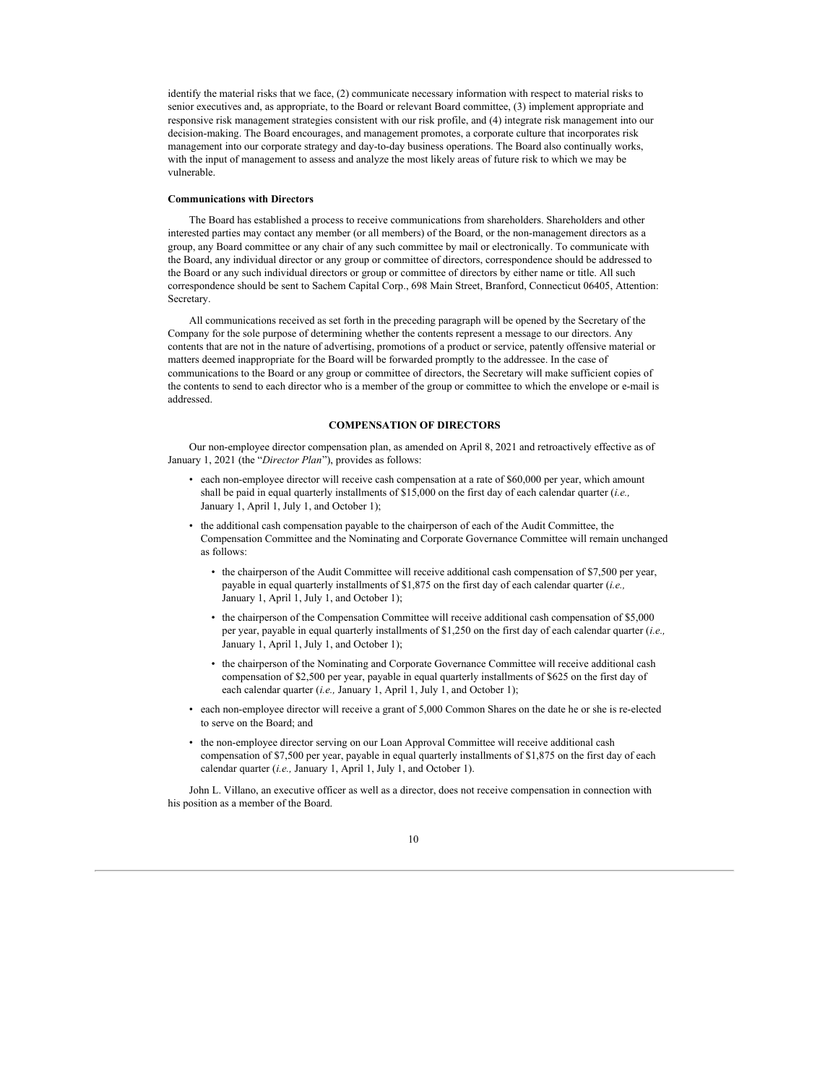identify the material risks that we face, (2) communicate necessary information with respect to material risks to senior executives and, as appropriate, to the Board or relevant Board committee, (3) implement appropriate and responsive risk management strategies consistent with our risk profile, and (4) integrate risk management into our decision-making. The Board encourages, and management promotes, a corporate culture that incorporates risk management into our corporate strategy and day-to-day business operations. The Board also continually works, with the input of management to assess and analyze the most likely areas of future risk to which we may be vulnerable.

## **Communications with Directors**

The Board has established a process to receive communications from shareholders. Shareholders and other interested parties may contact any member (or all members) of the Board, or the non-management directors as a group, any Board committee or any chair of any such committee by mail or electronically. To communicate with the Board, any individual director or any group or committee of directors, correspondence should be addressed to the Board or any such individual directors or group or committee of directors by either name or title. All such correspondence should be sent to Sachem Capital Corp., 698 Main Street, Branford, Connecticut 06405, Attention: Secretary.

All communications received as set forth in the preceding paragraph will be opened by the Secretary of the Company for the sole purpose of determining whether the contents represent a message to our directors. Any contents that are not in the nature of advertising, promotions of a product or service, patently offensive material or matters deemed inappropriate for the Board will be forwarded promptly to the addressee. In the case of communications to the Board or any group or committee of directors, the Secretary will make sufficient copies of the contents to send to each director who is a member of the group or committee to which the envelope or e-mail is addressed.

## **COMPENSATION OF DIRECTORS**

Our non-employee director compensation plan, as amended on April 8, 2021 and retroactively effective as of January 1, 2021 (the "*Director Plan*"), provides as follows:

- each non-employee director will receive cash compensation at a rate of \$60,000 per year, which amount shall be paid in equal quarterly installments of \$15,000 on the first day of each calendar quarter (*i.e.,* January 1, April 1, July 1, and October 1);
- the additional cash compensation payable to the chairperson of each of the Audit Committee, the Compensation Committee and the Nominating and Corporate Governance Committee will remain unchanged as follows:
	- the chairperson of the Audit Committee will receive additional cash compensation of \$7,500 per year, payable in equal quarterly installments of \$1,875 on the first day of each calendar quarter (*i.e.,* January 1, April 1, July 1, and October 1);
	- the chairperson of the Compensation Committee will receive additional cash compensation of \$5,000 per year, payable in equal quarterly installments of \$1,250 on the first day of each calendar quarter (*i.e.,* January 1, April 1, July 1, and October 1);
	- the chairperson of the Nominating and Corporate Governance Committee will receive additional cash compensation of \$2,500 per year, payable in equal quarterly installments of \$625 on the first day of each calendar quarter (*i.e.,* January 1, April 1, July 1, and October 1);
- each non-employee director will receive a grant of 5,000 Common Shares on the date he or she is re-elected to serve on the Board; and
- the non-employee director serving on our Loan Approval Committee will receive additional cash compensation of \$7,500 per year, payable in equal quarterly installments of \$1,875 on the first day of each calendar quarter (*i.e.,* January 1, April 1, July 1, and October 1).

John L. Villano, an executive officer as well as a director, does not receive compensation in connection with his position as a member of the Board.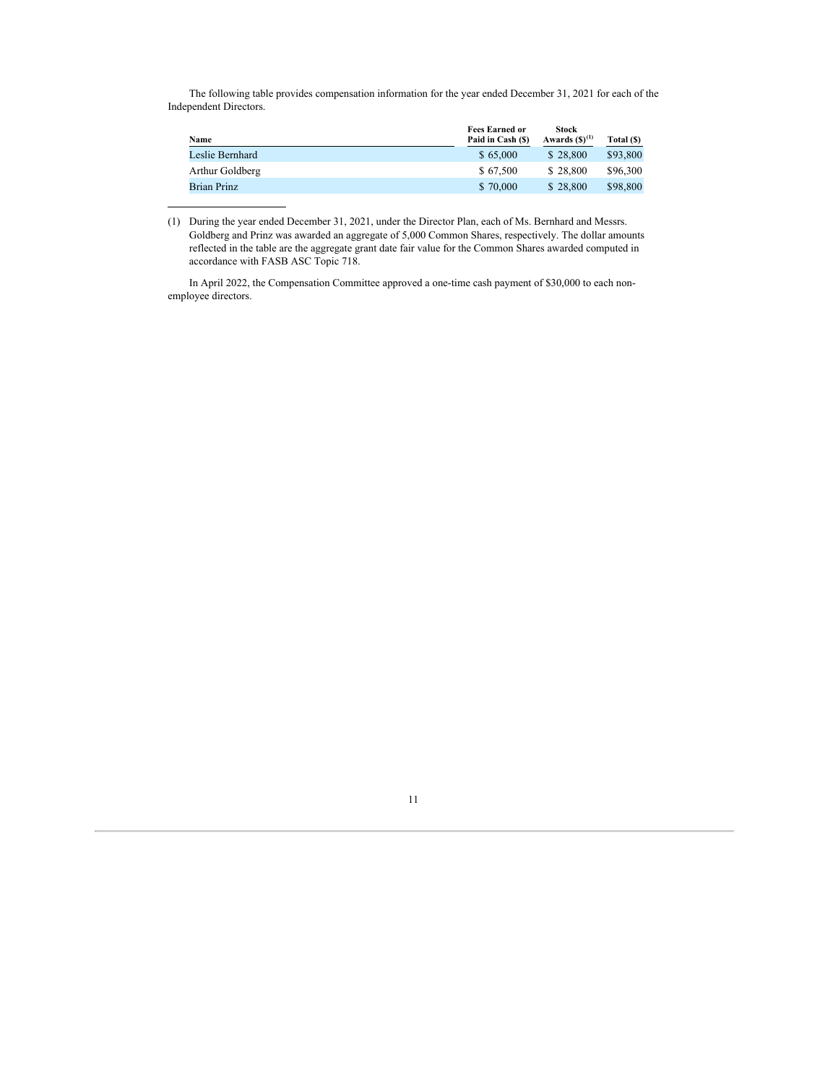The following table provides compensation information for the year ended December 31, 2021 for each of the Independent Directors.

| Name               | <b>Fees Earned or</b><br>Paid in Cash (\$) | <b>Stock</b><br>Awards $(S)^{(1)}$ | Total (\$) |
|--------------------|--------------------------------------------|------------------------------------|------------|
| Leslie Bernhard    | \$65,000                                   | \$28,800                           | \$93,800   |
| Arthur Goldberg    | \$67.500                                   | \$28,800                           | \$96,300   |
| <b>Brian Prinz</b> | \$70,000                                   | \$28,800                           | \$98,800   |

<sup>(1)</sup> During the year ended December 31, 2021, under the Director Plan, each of Ms. Bernhard and Messrs. Goldberg and Prinz was awarded an aggregate of 5,000 Common Shares, respectively. The dollar amounts reflected in the table are the aggregate grant date fair value for the Common Shares awarded computed in accordance with FASB ASC Topic 718.

In April 2022, the Compensation Committee approved a one-time cash payment of \$30,000 to each nonemployee directors.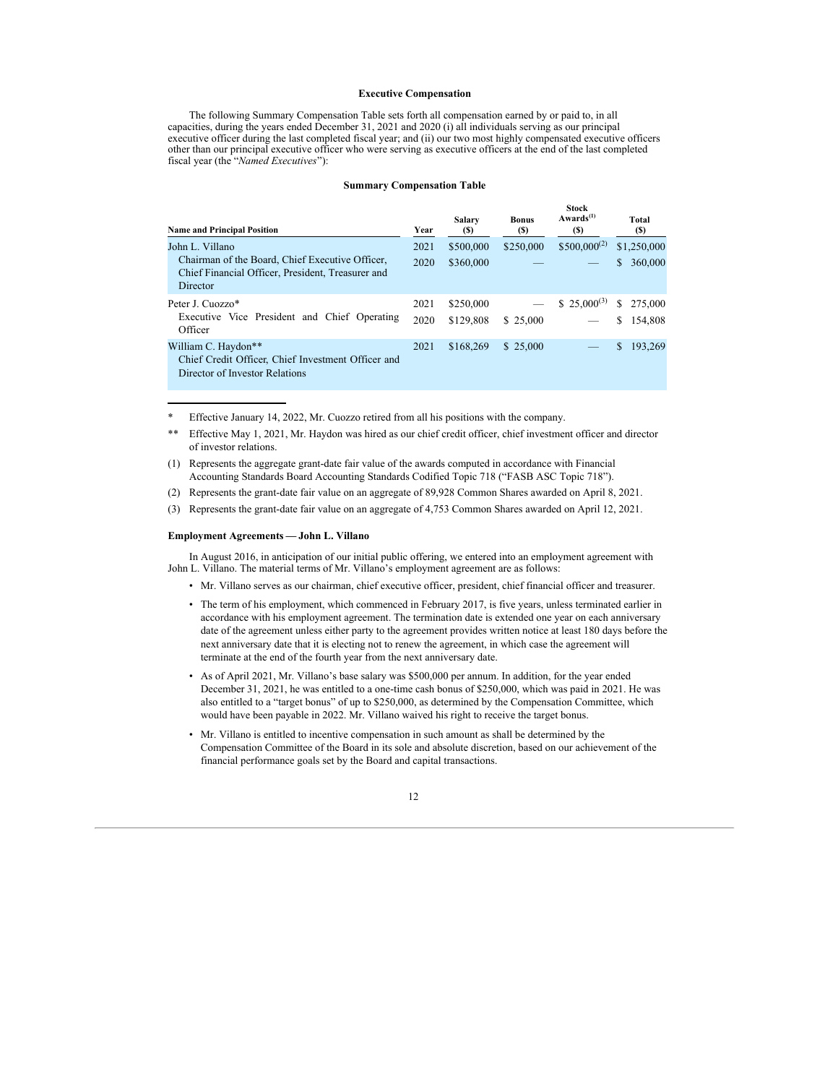### **Executive Compensation**

The following Summary Compensation Table sets forth all compensation earned by or paid to, in all capacities, during the years ended December 31, 2021 and 2020 (i) all individuals serving as our principal executive officer during the last completed fiscal year; and (ii) our two most highly compensated executive officers other than our principal executive officer who were serving as executive officers at the end of the last completed fiscal year (the "*Named Executives*"):

#### **Summary Compensation Table**

| <b>Name and Principal Position</b>                                                                               | Year | Salary<br>(S) | <b>Bonus</b><br>(S) | <b>Stock</b><br>$Awards^{(1)}$<br><b>(S)</b> | Total<br>(S)  |
|------------------------------------------------------------------------------------------------------------------|------|---------------|---------------------|----------------------------------------------|---------------|
| John L. Villano                                                                                                  | 2021 | \$500,000     | \$250,000           | $$500,000^{(2)}$                             | \$1,250,000   |
| Chairman of the Board, Chief Executive Officer,<br>Chief Financial Officer, President, Treasurer and<br>Director | 2020 | \$360,000     |                     |                                              | 360,000<br>\$ |
| Peter J. Cuozzo*                                                                                                 | 2021 | \$250,000     |                     | \$ 25,000 <sup>(3)</sup>                     | S.<br>275,000 |
| Executive Vice President and Chief Operating<br>Officer                                                          | 2020 | \$129,808     | \$25,000            |                                              | 154.808<br>S  |
| William C. Haydon**<br>Chief Credit Officer, Chief Investment Officer and<br>Director of Investor Relations      | 2021 | \$168,269     | \$25,000            |                                              | \$<br>193,269 |

\* Effective January 14, 2022, Mr. Cuozzo retired from all his positions with the company.

\*\* Effective May 1, 2021, Mr. Haydon was hired as our chief credit officer, chief investment officer and director of investor relations.

(1) Represents the aggregate grant-date fair value of the awards computed in accordance with Financial Accounting Standards Board Accounting Standards Codified Topic 718 ("FASB ASC Topic 718").

(2) Represents the grant-date fair value on an aggregate of 89,928 Common Shares awarded on April 8, 2021.

(3) Represents the grant-date fair value on an aggregate of 4,753 Common Shares awarded on April 12, 2021.

## **Employment Agreements — John L. Villano**

In August 2016, in anticipation of our initial public offering, we entered into an employment agreement with John L. Villano. The material terms of Mr. Villano's employment agreement are as follows:

- Mr. Villano serves as our chairman, chief executive officer, president, chief financial officer and treasurer.
- The term of his employment, which commenced in February 2017, is five years, unless terminated earlier in accordance with his employment agreement. The termination date is extended one year on each anniversary date of the agreement unless either party to the agreement provides written notice at least 180 days before the next anniversary date that it is electing not to renew the agreement, in which case the agreement will terminate at the end of the fourth year from the next anniversary date.
- As of April 2021, Mr. Villano's base salary was \$500,000 per annum. In addition, for the year ended December 31, 2021, he was entitled to a one-time cash bonus of \$250,000, which was paid in 2021. He was also entitled to a "target bonus" of up to \$250,000, as determined by the Compensation Committee, which would have been payable in 2022. Mr. Villano waived his right to receive the target bonus.
- Mr. Villano is entitled to incentive compensation in such amount as shall be determined by the Compensation Committee of the Board in its sole and absolute discretion, based on our achievement of the financial performance goals set by the Board and capital transactions.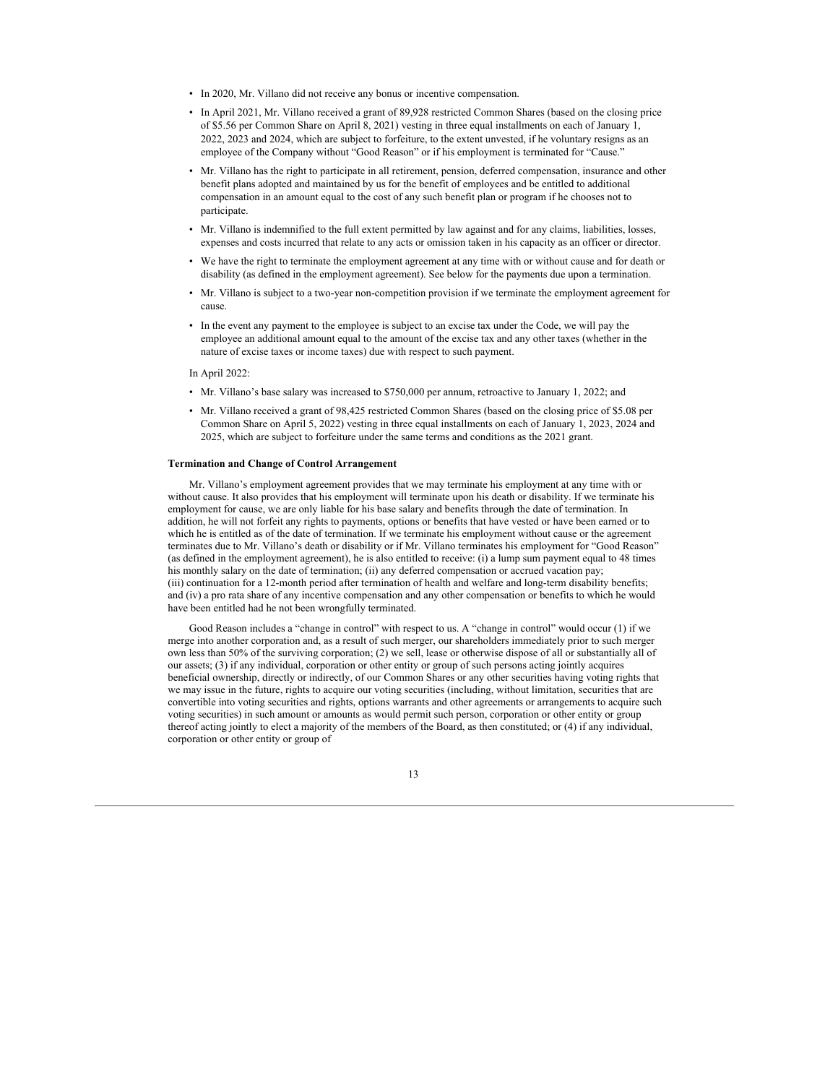- In 2020, Mr. Villano did not receive any bonus or incentive compensation.
- In April 2021, Mr. Villano received a grant of 89,928 restricted Common Shares (based on the closing price of \$5.56 per Common Share on April 8, 2021) vesting in three equal installments on each of January 1, 2022, 2023 and 2024, which are subject to forfeiture, to the extent unvested, if he voluntary resigns as an employee of the Company without "Good Reason" or if his employment is terminated for "Cause."
- Mr. Villano has the right to participate in all retirement, pension, deferred compensation, insurance and other benefit plans adopted and maintained by us for the benefit of employees and be entitled to additional compensation in an amount equal to the cost of any such benefit plan or program if he chooses not to participate.
- Mr. Villano is indemnified to the full extent permitted by law against and for any claims, liabilities, losses, expenses and costs incurred that relate to any acts or omission taken in his capacity as an officer or director.
- We have the right to terminate the employment agreement at any time with or without cause and for death or disability (as defined in the employment agreement). See below for the payments due upon a termination.
- Mr. Villano is subject to a two-year non-competition provision if we terminate the employment agreement for cause.
- In the event any payment to the employee is subject to an excise tax under the Code, we will pay the employee an additional amount equal to the amount of the excise tax and any other taxes (whether in the nature of excise taxes or income taxes) due with respect to such payment.

In April 2022:

- Mr. Villano's base salary was increased to \$750,000 per annum, retroactive to January 1, 2022; and
- Mr. Villano received a grant of 98,425 restricted Common Shares (based on the closing price of \$5.08 per Common Share on April 5, 2022) vesting in three equal installments on each of January 1, 2023, 2024 and 2025, which are subject to forfeiture under the same terms and conditions as the 2021 grant.

### **Termination and Change of Control Arrangement**

Mr. Villano's employment agreement provides that we may terminate his employment at any time with or without cause. It also provides that his employment will terminate upon his death or disability. If we terminate his employment for cause, we are only liable for his base salary and benefits through the date of termination. In addition, he will not forfeit any rights to payments, options or benefits that have vested or have been earned or to which he is entitled as of the date of termination. If we terminate his employment without cause or the agreement terminates due to Mr. Villano's death or disability or if Mr. Villano terminates his employment for "Good Reason" (as defined in the employment agreement), he is also entitled to receive: (i) a lump sum payment equal to 48 times his monthly salary on the date of termination; (ii) any deferred compensation or accrued vacation pay; (iii) continuation for a 12-month period after termination of health and welfare and long-term disability benefits; and (iv) a pro rata share of any incentive compensation and any other compensation or benefits to which he would have been entitled had he not been wrongfully terminated.

Good Reason includes a "change in control" with respect to us. A "change in control" would occur (1) if we merge into another corporation and, as a result of such merger, our shareholders immediately prior to such merger own less than 50% of the surviving corporation; (2) we sell, lease or otherwise dispose of all or substantially all of our assets; (3) if any individual, corporation or other entity or group of such persons acting jointly acquires beneficial ownership, directly or indirectly, of our Common Shares or any other securities having voting rights that we may issue in the future, rights to acquire our voting securities (including, without limitation, securities that are convertible into voting securities and rights, options warrants and other agreements or arrangements to acquire such voting securities) in such amount or amounts as would permit such person, corporation or other entity or group thereof acting jointly to elect a majority of the members of the Board, as then constituted; or (4) if any individual, corporation or other entity or group of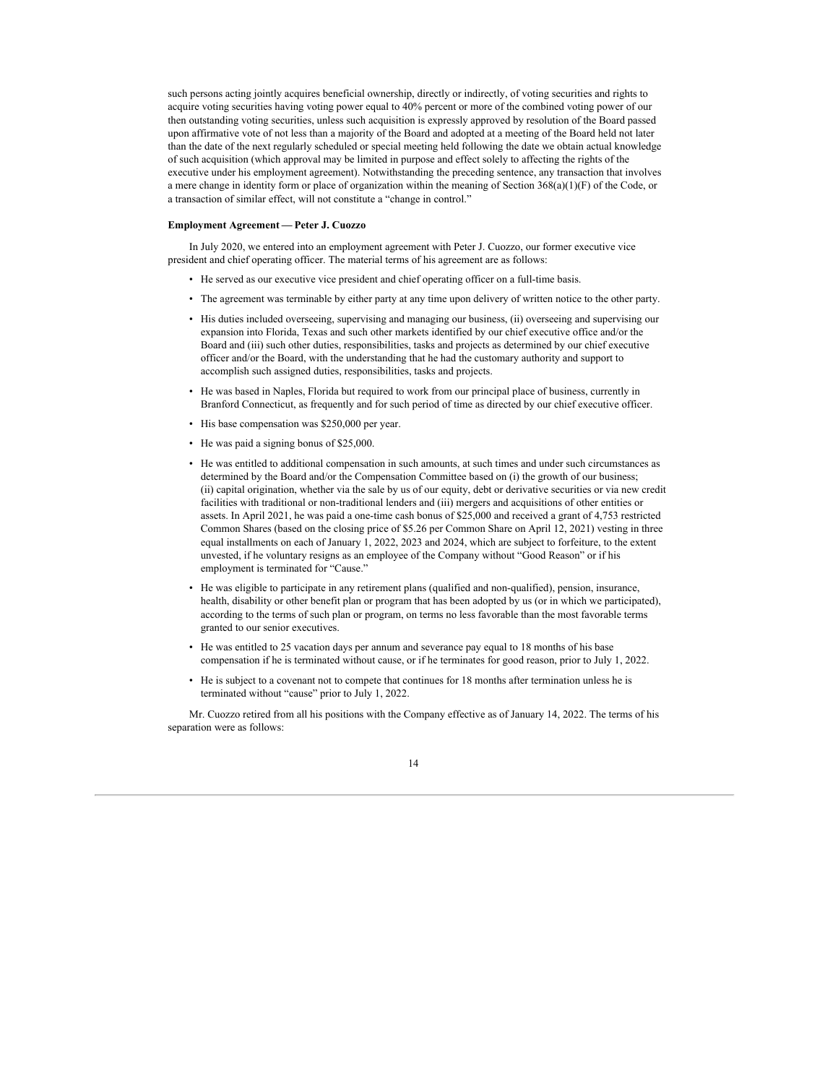such persons acting jointly acquires beneficial ownership, directly or indirectly, of voting securities and rights to acquire voting securities having voting power equal to 40% percent or more of the combined voting power of our then outstanding voting securities, unless such acquisition is expressly approved by resolution of the Board passed upon affirmative vote of not less than a majority of the Board and adopted at a meeting of the Board held not later than the date of the next regularly scheduled or special meeting held following the date we obtain actual knowledge of such acquisition (which approval may be limited in purpose and effect solely to affecting the rights of the executive under his employment agreement). Notwithstanding the preceding sentence, any transaction that involves a mere change in identity form or place of organization within the meaning of Section 368(a)(1)(F) of the Code, or a transaction of similar effect, will not constitute a "change in control."

### **Employment Agreement — Peter J. Cuozzo**

In July 2020, we entered into an employment agreement with Peter J. Cuozzo, our former executive vice president and chief operating officer. The material terms of his agreement are as follows:

- He served as our executive vice president and chief operating officer on a full-time basis.
- The agreement was terminable by either party at any time upon delivery of written notice to the other party.
- His duties included overseeing, supervising and managing our business, (ii) overseeing and supervising our expansion into Florida, Texas and such other markets identified by our chief executive office and/or the Board and (iii) such other duties, responsibilities, tasks and projects as determined by our chief executive officer and/or the Board, with the understanding that he had the customary authority and support to accomplish such assigned duties, responsibilities, tasks and projects.
- He was based in Naples, Florida but required to work from our principal place of business, currently in Branford Connecticut, as frequently and for such period of time as directed by our chief executive officer.
- His base compensation was \$250,000 per year.
- He was paid a signing bonus of \$25,000.
- He was entitled to additional compensation in such amounts, at such times and under such circumstances as determined by the Board and/or the Compensation Committee based on (i) the growth of our business; (ii) capital origination, whether via the sale by us of our equity, debt or derivative securities or via new credit facilities with traditional or non-traditional lenders and (iii) mergers and acquisitions of other entities or assets. In April 2021, he was paid a one-time cash bonus of \$25,000 and received a grant of 4,753 restricted Common Shares (based on the closing price of \$5.26 per Common Share on April 12, 2021) vesting in three equal installments on each of January 1, 2022, 2023 and 2024, which are subject to forfeiture, to the extent unvested, if he voluntary resigns as an employee of the Company without "Good Reason" or if his employment is terminated for "Cause."
- He was eligible to participate in any retirement plans (qualified and non-qualified), pension, insurance, health, disability or other benefit plan or program that has been adopted by us (or in which we participated), according to the terms of such plan or program, on terms no less favorable than the most favorable terms granted to our senior executives.
- He was entitled to 25 vacation days per annum and severance pay equal to 18 months of his base compensation if he is terminated without cause, or if he terminates for good reason, prior to July 1, 2022.
- He is subject to a covenant not to compete that continues for 18 months after termination unless he is terminated without "cause" prior to July 1, 2022.

Mr. Cuozzo retired from all his positions with the Company effective as of January 14, 2022. The terms of his separation were as follows:

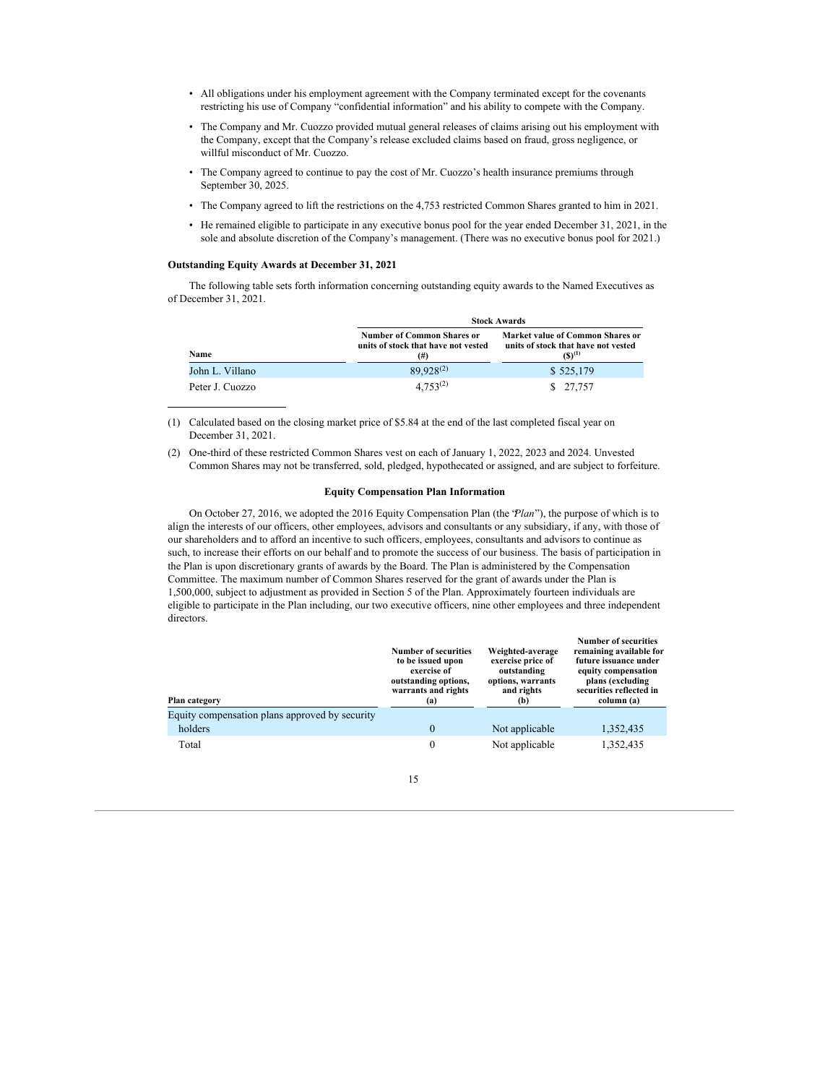- All obligations under his employment agreement with the Company terminated except for the covenants restricting his use of Company "confidential information" and his ability to compete with the Company.
- The Company and Mr. Cuozzo provided mutual general releases of claims arising out his employment with the Company, except that the Company's release excluded claims based on fraud, gross negligence, or willful misconduct of Mr. Cuozzo.
- The Company agreed to continue to pay the cost of Mr. Cuozzo's health insurance premiums through September 30, 2025.
- The Company agreed to lift the restrictions on the 4,753 restricted Common Shares granted to him in 2021.
- He remained eligible to participate in any executive bonus pool for the year ended December 31, 2021, in the sole and absolute discretion of the Company's management. (There was no executive bonus pool for 2021.)

## **Outstanding Equity Awards at December 31, 2021**

The following table sets forth information concerning outstanding equity awards to the Named Executives as of December 31, 2021.

|                 |                                                                                      | <b>Stock Awards</b>                                                                           |
|-----------------|--------------------------------------------------------------------------------------|-----------------------------------------------------------------------------------------------|
| Name            | <b>Number of Common Shares or</b><br>units of stock that have not vested<br>$^{(#)}$ | <b>Market value of Common Shares or</b><br>units of stock that have not vested<br>$(S)^{(1)}$ |
| John L. Villano | $89.928^{(2)}$                                                                       | \$525,179                                                                                     |
| Peter J. Cuozzo | $4.753^{(2)}$                                                                        | \$ 27,757                                                                                     |

(1) Calculated based on the closing market price of \$5.84 at the end of the last completed fiscal year on December 31, 2021.

(2) One-third of these restricted Common Shares vest on each of January 1, 2022, 2023 and 2024. Unvested Common Shares may not be transferred, sold, pledged, hypothecated or assigned, and are subject to forfeiture.

## **Equity Compensation Plan Information**

On October 27, 2016, we adopted the 2016 Equity Compensation Plan (the "*Plan*"), the purpose of which is to align the interests of our officers, other employees, advisors and consultants or any subsidiary, if any, with those of our shareholders and to afford an incentive to such officers, employees, consultants and advisors to continue as such, to increase their efforts on our behalf and to promote the success of our business. The basis of participation in the Plan is upon discretionary grants of awards by the Board. The Plan is administered by the Compensation Committee. The maximum number of Common Shares reserved for the grant of awards under the Plan is 1,500,000, subject to adjustment as provided in Section 5 of the Plan. Approximately fourteen individuals are eligible to participate in the Plan including, our two executive officers, nine other employees and three independent directors.

| Plan category                                  | <b>Number of securities</b><br>to be issued upon<br>exercise of<br>outstanding options,<br>warrants and rights<br>(a) | Weighted-average<br>exercise price of<br>outstanding<br>options, warrants<br>and rights<br>(b) | <b>Number of securities</b><br>remaining available for<br>future issuance under<br>equity compensation<br>plans (excluding<br>securities reflected in<br>column (a) |
|------------------------------------------------|-----------------------------------------------------------------------------------------------------------------------|------------------------------------------------------------------------------------------------|---------------------------------------------------------------------------------------------------------------------------------------------------------------------|
| Equity compensation plans approved by security |                                                                                                                       |                                                                                                |                                                                                                                                                                     |
| holders                                        | $\Omega$                                                                                                              | Not applicable                                                                                 | 1,352,435                                                                                                                                                           |
| Total                                          | 0                                                                                                                     | Not applicable                                                                                 | 1,352,435                                                                                                                                                           |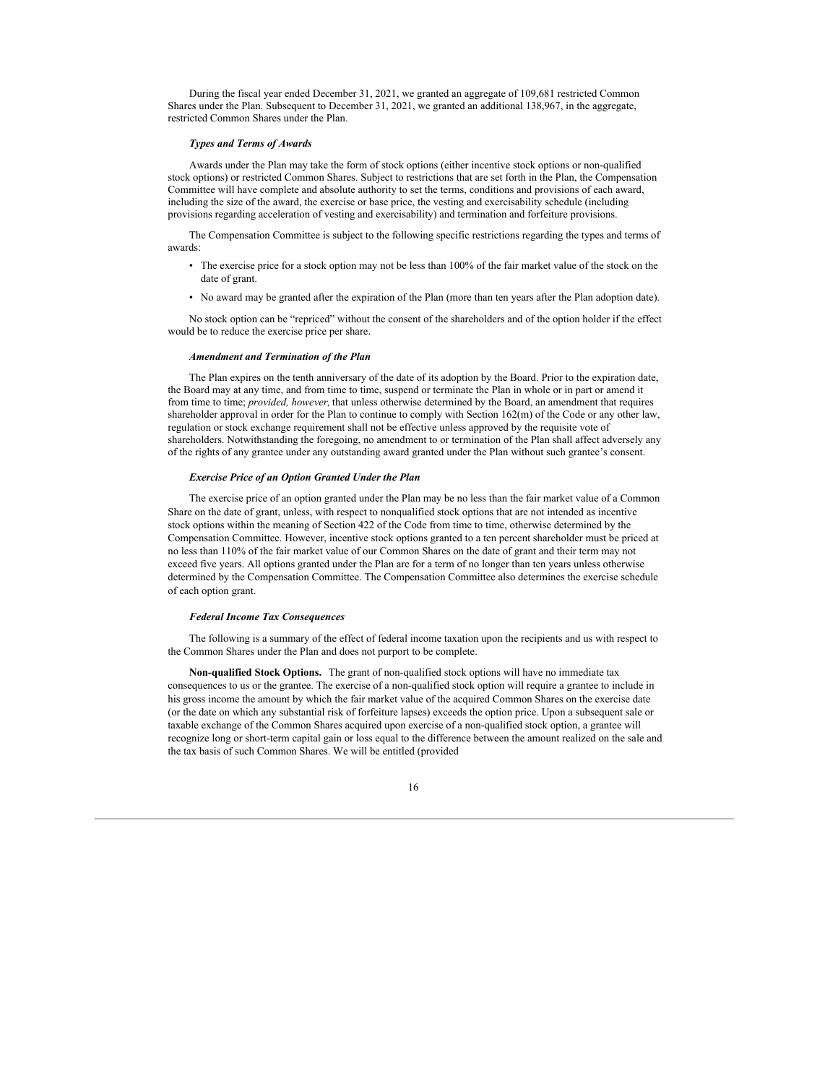During the fiscal year ended December 31, 2021, we granted an aggregate of 109,681 restricted Common Shares under the Plan. Subsequent to December 31, 2021, we granted an additional 138,967, in the aggregate, restricted Common Shares under the Plan.

#### *Types and Terms of Awards*

Awards under the Plan may take the form of stock options (either incentive stock options or non-qualified stock options) or restricted Common Shares. Subject to restrictions that are set forth in the Plan, the Compensation Committee will have complete and absolute authority to set the terms, conditions and provisions of each award, including the size of the award, the exercise or base price, the vesting and exercisability schedule (including provisions regarding acceleration of vesting and exercisability) and termination and forfeiture provisions.

The Compensation Committee is subject to the following specific restrictions regarding the types and terms of awards:

- The exercise price for a stock option may not be less than 100% of the fair market value of the stock on the date of grant.
- No award may be granted after the expiration of the Plan (more than ten years after the Plan adoption date).

No stock option can be "repriced" without the consent of the shareholders and of the option holder if the effect would be to reduce the exercise price per share.

#### *Amendment and Termination of the Plan*

The Plan expires on the tenth anniversary of the date of its adoption by the Board. Prior to the expiration date, the Board may at any time, and from time to time, suspend or terminate the Plan in whole or in part or amend it from time to time; *provided, however,* that unless otherwise determined by the Board, an amendment that requires shareholder approval in order for the Plan to continue to comply with Section 162(m) of the Code or any other law, regulation or stock exchange requirement shall not be effective unless approved by the requisite vote of shareholders. Notwithstanding the foregoing, no amendment to or termination of the Plan shall affect adversely any of the rights of any grantee under any outstanding award granted under the Plan without such grantee's consent.

## *Exercise Price of an Option Granted Under the Plan*

The exercise price of an option granted under the Plan may be no less than the fair market value of a Common Share on the date of grant, unless, with respect to nonqualified stock options that are not intended as incentive stock options within the meaning of Section 422 of the Code from time to time, otherwise determined by the Compensation Committee. However, incentive stock options granted to a ten percent shareholder must be priced at no less than 110% of the fair market value of our Common Shares on the date of grant and their term may not exceed five years. All options granted under the Plan are for a term of no longer than ten years unless otherwise determined by the Compensation Committee. The Compensation Committee also determines the exercise schedule of each option grant.

#### *Federal Income Tax Consequences*

The following is a summary of the effect of federal income taxation upon the recipients and us with respect to the Common Shares under the Plan and does not purport to be complete.

**Non-qualified Stock Options.** The grant of non-qualified stock options will have no immediate tax consequences to us or the grantee. The exercise of a non-qualified stock option will require a grantee to include in his gross income the amount by which the fair market value of the acquired Common Shares on the exercise date (or the date on which any substantial risk of forfeiture lapses) exceeds the option price. Upon a subsequent sale or taxable exchange of the Common Shares acquired upon exercise of a non-qualified stock option, a grantee will recognize long or short-term capital gain or loss equal to the difference between the amount realized on the sale and the tax basis of such Common Shares. We will be entitled (provided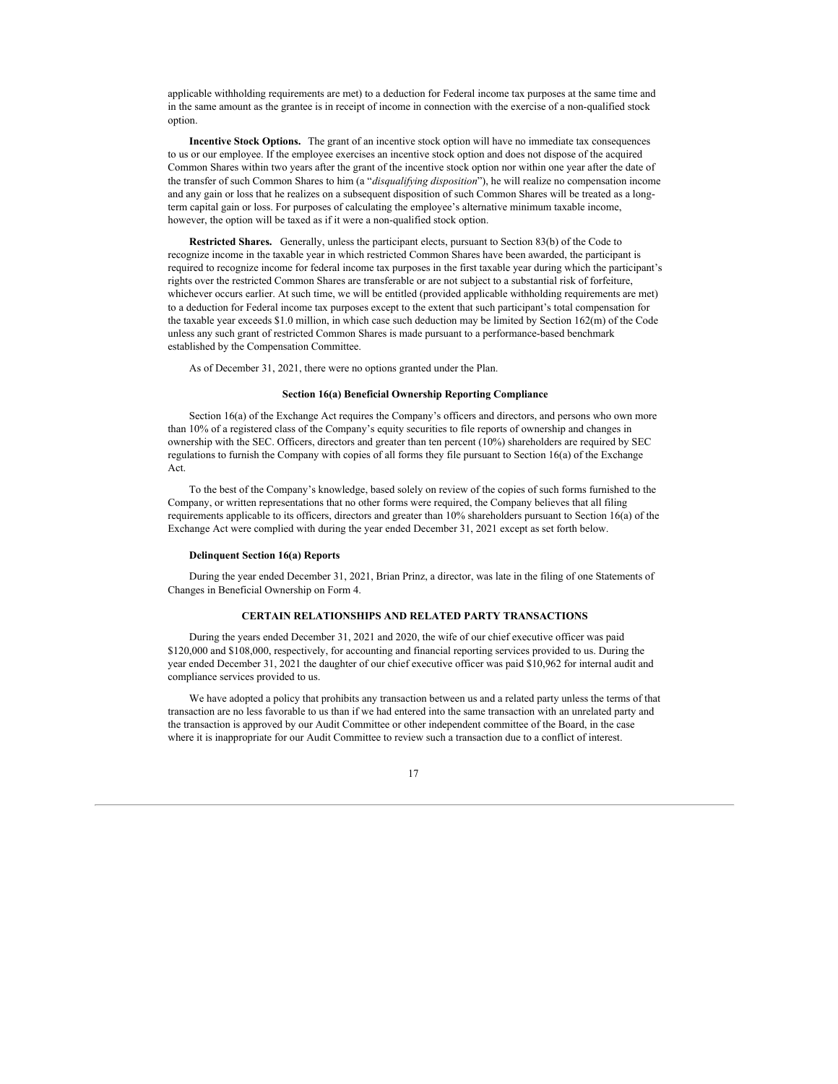applicable withholding requirements are met) to a deduction for Federal income tax purposes at the same time and in the same amount as the grantee is in receipt of income in connection with the exercise of a non-qualified stock option.

**Incentive Stock Options.** The grant of an incentive stock option will have no immediate tax consequences to us or our employee. If the employee exercises an incentive stock option and does not dispose of the acquired Common Shares within two years after the grant of the incentive stock option nor within one year after the date of the transfer of such Common Shares to him (a "*disqualifying disposition*"), he will realize no compensation income and any gain or loss that he realizes on a subsequent disposition of such Common Shares will be treated as a longterm capital gain or loss. For purposes of calculating the employee's alternative minimum taxable income, however, the option will be taxed as if it were a non-qualified stock option.

**Restricted Shares.** Generally, unless the participant elects, pursuant to Section 83(b) of the Code to recognize income in the taxable year in which restricted Common Shares have been awarded, the participant is required to recognize income for federal income tax purposes in the first taxable year during which the participant's rights over the restricted Common Shares are transferable or are not subject to a substantial risk of forfeiture, whichever occurs earlier. At such time, we will be entitled (provided applicable withholding requirements are met) to a deduction for Federal income tax purposes except to the extent that such participant's total compensation for the taxable year exceeds \$1.0 million, in which case such deduction may be limited by Section 162(m) of the Code unless any such grant of restricted Common Shares is made pursuant to a performance-based benchmark established by the Compensation Committee.

As of December 31, 2021, there were no options granted under the Plan.

## **Section 16(a) Beneficial Ownership Reporting Compliance**

Section 16(a) of the Exchange Act requires the Company's officers and directors, and persons who own more than 10% of a registered class of the Company's equity securities to file reports of ownership and changes in ownership with the SEC. Officers, directors and greater than ten percent (10%) shareholders are required by SEC regulations to furnish the Company with copies of all forms they file pursuant to Section 16(a) of the Exchange Act.

To the best of the Company's knowledge, based solely on review of the copies of such forms furnished to the Company, or written representations that no other forms were required, the Company believes that all filing requirements applicable to its officers, directors and greater than 10% shareholders pursuant to Section 16(a) of the Exchange Act were complied with during the year ended December 31, 2021 except as set forth below.

#### **Delinquent Section 16(a) Reports**

During the year ended December 31, 2021, Brian Prinz, a director, was late in the filing of one Statements of Changes in Beneficial Ownership on Form 4.

## **CERTAIN RELATIONSHIPS AND RELATED PARTY TRANSACTIONS**

During the years ended December 31, 2021 and 2020, the wife of our chief executive officer was paid \$120,000 and \$108,000, respectively, for accounting and financial reporting services provided to us. During the year ended December 31, 2021 the daughter of our chief executive officer was paid \$10,962 for internal audit and compliance services provided to us.

We have adopted a policy that prohibits any transaction between us and a related party unless the terms of that transaction are no less favorable to us than if we had entered into the same transaction with an unrelated party and the transaction is approved by our Audit Committee or other independent committee of the Board, in the case where it is inappropriate for our Audit Committee to review such a transaction due to a conflict of interest.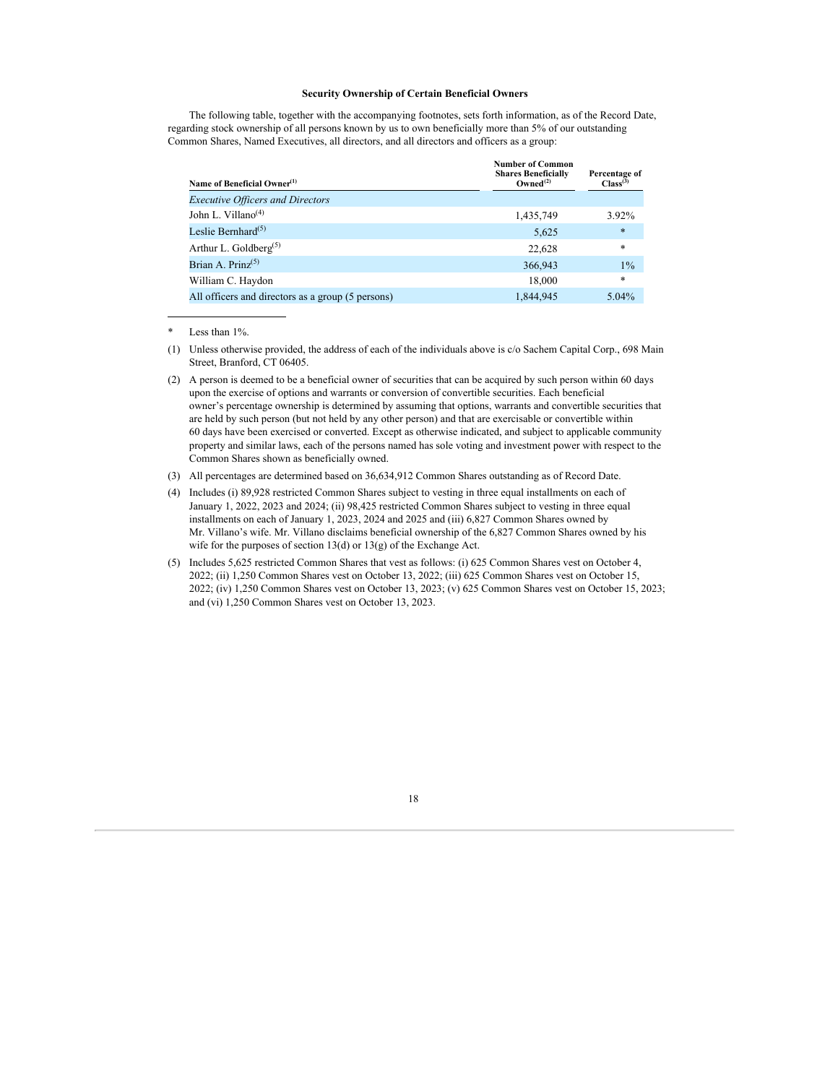## **Security Ownership of Certain Beneficial Owners**

The following table, together with the accompanying footnotes, sets forth information, as of the Record Date, regarding stock ownership of all persons known by us to own beneficially more than 5% of our outstanding Common Shares, Named Executives, all directors, and all directors and officers as a group:

| Name of Beneficial Owner <sup>(1)</sup>           | <b>Number of Common</b><br><b>Shares Beneficially</b><br>Owned <sup>(2)</sup> | Percentage of<br>Class <sup>(3)</sup> |
|---------------------------------------------------|-------------------------------------------------------------------------------|---------------------------------------|
| <b>Executive Officers and Directors</b>           |                                                                               |                                       |
| John L. Villano <sup>(4)</sup>                    | 1,435,749                                                                     | 3.92%                                 |
| Leslie Bernhard <sup>(5)</sup>                    | 5,625                                                                         | $\ast$                                |
| Arthur L. Goldberg <sup>(5)</sup>                 | 22,628                                                                        | *                                     |
| Brian A. Prinz $(5)$                              | 366,943                                                                       | $1\%$                                 |
| William C. Haydon                                 | 18,000                                                                        | *                                     |
| All officers and directors as a group (5 persons) | 1,844,945                                                                     | $5.04\%$                              |

\* Less than 1%.

(1) Unless otherwise provided, the address of each of the individuals above is c/o Sachem Capital Corp., 698 Main Street, Branford, CT 06405.

(2) A person is deemed to be a beneficial owner of securities that can be acquired by such person within 60 days upon the exercise of options and warrants or conversion of convertible securities. Each beneficial owner's percentage ownership is determined by assuming that options, warrants and convertible securities that are held by such person (but not held by any other person) and that are exercisable or convertible within 60 days have been exercised or converted. Except as otherwise indicated, and subject to applicable community property and similar laws, each of the persons named has sole voting and investment power with respect to the Common Shares shown as beneficially owned.

(3) All percentages are determined based on 36,634,912 Common Shares outstanding as of Record Date.

(4) Includes (i) 89,928 restricted Common Shares subject to vesting in three equal installments on each of January 1, 2022, 2023 and 2024; (ii) 98,425 restricted Common Shares subject to vesting in three equal installments on each of January 1, 2023, 2024 and 2025 and (iii) 6,827 Common Shares owned by Mr. Villano's wife. Mr. Villano disclaims beneficial ownership of the 6,827 Common Shares owned by his wife for the purposes of section  $13(d)$  or  $13(g)$  of the Exchange Act.

(5) Includes 5,625 restricted Common Shares that vest as follows: (i) 625 Common Shares vest on October 4, 2022; (ii) 1,250 Common Shares vest on October 13, 2022; (iii) 625 Common Shares vest on October 15, 2022; (iv) 1,250 Common Shares vest on October 13, 2023; (v) 625 Common Shares vest on October 15, 2023; and (vi) 1,250 Common Shares vest on October 13, 2023.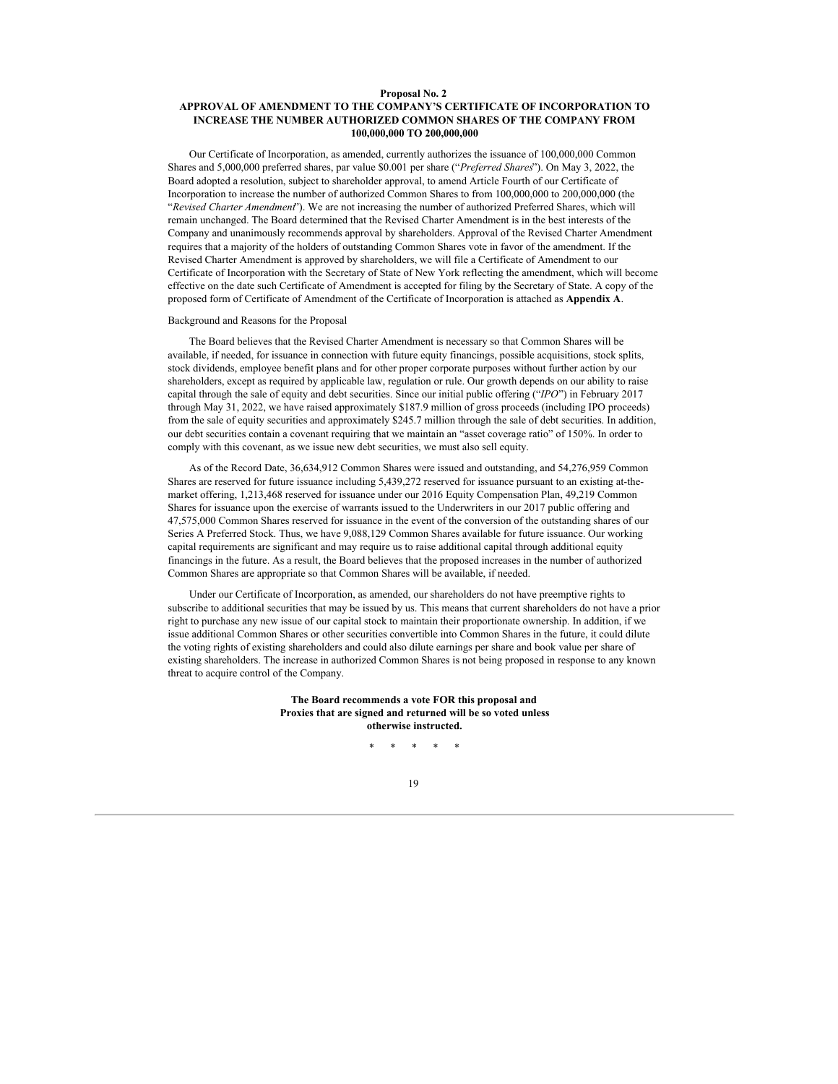### **Proposal No. 2**

## **APPROVAL OF AMENDMENT TO THE COMPANY'S CERTIFICATE OF INCORPORATION TO INCREASE THE NUMBER AUTHORIZED COMMON SHARES OF THE COMPANY FROM 100,000,000 TO 200,000,000**

Our Certificate of Incorporation, as amended, currently authorizes the issuance of 100,000,000 Common Shares and 5,000,000 preferred shares, par value \$0.001 per share ("*Preferred Shares*"). On May 3, 2022, the Board adopted a resolution, subject to shareholder approval, to amend Article Fourth of our Certificate of Incorporation to increase the number of authorized Common Shares to from 100,000,000 to 200,000,000 (the "*Revised Charter Amendment*"). We are not increasing the number of authorized Preferred Shares, which will remain unchanged. The Board determined that the Revised Charter Amendment is in the best interests of the Company and unanimously recommends approval by shareholders. Approval of the Revised Charter Amendment requires that a majority of the holders of outstanding Common Shares vote in favor of the amendment. If the Revised Charter Amendment is approved by shareholders, we will file a Certificate of Amendment to our Certificate of Incorporation with the Secretary of State of New York reflecting the amendment, which will become effective on the date such Certificate of Amendment is accepted for filing by the Secretary of State. A copy of the proposed form of Certificate of Amendment of the Certificate of Incorporation is attached as **Appendix A**.

#### Background and Reasons for the Proposal

The Board believes that the Revised Charter Amendment is necessary so that Common Shares will be available, if needed, for issuance in connection with future equity financings, possible acquisitions, stock splits, stock dividends, employee benefit plans and for other proper corporate purposes without further action by our shareholders, except as required by applicable law, regulation or rule. Our growth depends on our ability to raise capital through the sale of equity and debt securities. Since our initial public offering ("*IPO*") in February 2017 through May 31, 2022, we have raised approximately \$187.9 million of gross proceeds (including IPO proceeds) from the sale of equity securities and approximately \$245.7 million through the sale of debt securities. In addition, our debt securities contain a covenant requiring that we maintain an "asset coverage ratio" of 150%. In order to comply with this covenant, as we issue new debt securities, we must also sell equity.

As of the Record Date, 36,634,912 Common Shares were issued and outstanding, and 54,276,959 Common Shares are reserved for future issuance including 5,439,272 reserved for issuance pursuant to an existing at-themarket offering, 1,213,468 reserved for issuance under our 2016 Equity Compensation Plan, 49,219 Common Shares for issuance upon the exercise of warrants issued to the Underwriters in our 2017 public offering and 47,575,000 Common Shares reserved for issuance in the event of the conversion of the outstanding shares of our Series A Preferred Stock. Thus, we have 9,088,129 Common Shares available for future issuance. Our working capital requirements are significant and may require us to raise additional capital through additional equity financings in the future. As a result, the Board believes that the proposed increases in the number of authorized Common Shares are appropriate so that Common Shares will be available, if needed.

Under our Certificate of Incorporation, as amended, our shareholders do not have preemptive rights to subscribe to additional securities that may be issued by us. This means that current shareholders do not have a prior right to purchase any new issue of our capital stock to maintain their proportionate ownership. In addition, if we issue additional Common Shares or other securities convertible into Common Shares in the future, it could dilute the voting rights of existing shareholders and could also dilute earnings per share and book value per share of existing shareholders. The increase in authorized Common Shares is not being proposed in response to any known threat to acquire control of the Company.

> **The Board recommends a vote FOR this proposal and Proxies that are signed and returned will be so voted unless otherwise instructed.**

> > \* \* \* \* \*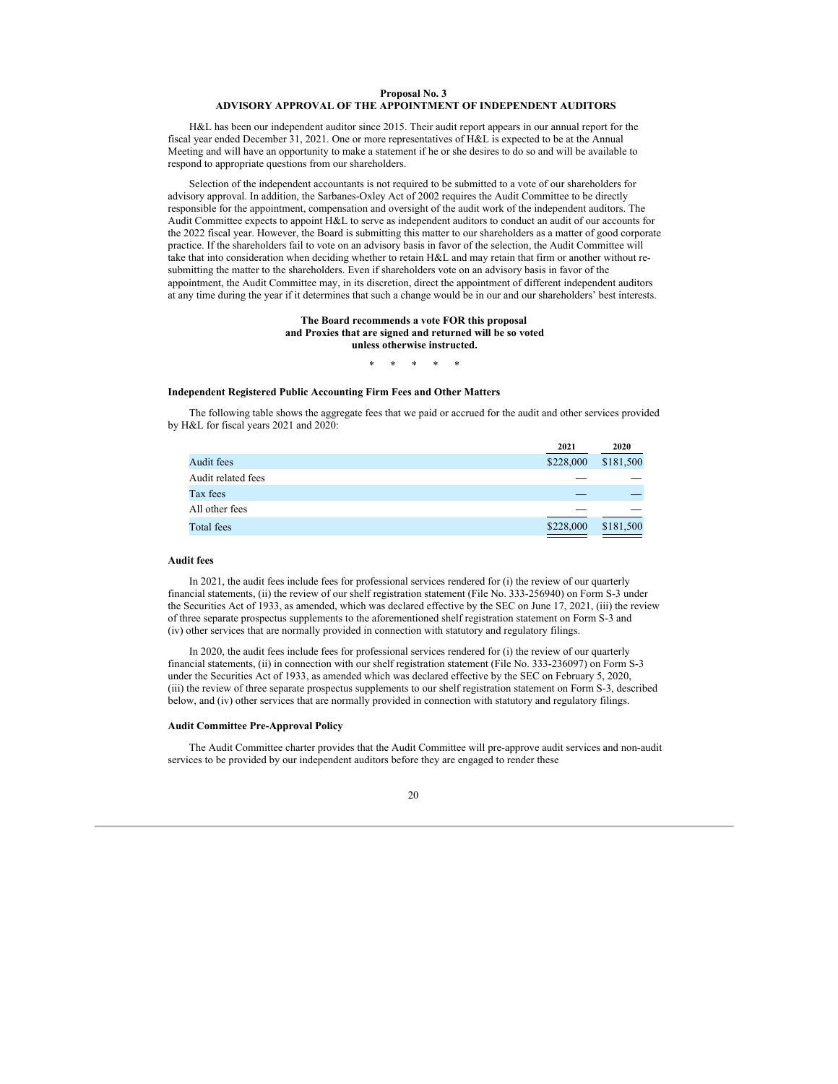## **Proposal No. 3 ADVISORY APPROVAL OF THE APPOINTMENT OF INDEPENDENT AUDITORS**

H&L has been our independent auditor since 2015. Their audit report appears in our annual report for the fiscal year ended December 31, 2021. One or more representatives of H&L is expected to be at the Annual Meeting and will have an opportunity to make a statement if he or she desires to do so and will be available to respond to appropriate questions from our shareholders.

Selection of the independent accountants is not required to be submitted to a vote of our shareholders for advisory approval. In addition, the Sarbanes-Oxley Act of 2002 requires the Audit Committee to be directly responsible for the appointment, compensation and oversight of the audit work of the independent auditors. The Audit Committee expects to appoint H&L to serve as independent auditors to conduct an audit of our accounts for the 2022 fiscal year. However, the Board is submitting this matter to our shareholders as a matter of good corporate practice. If the shareholders fail to vote on an advisory basis in favor of the selection, the Audit Committee will take that into consideration when deciding whether to retain H&L and may retain that firm or another without resubmitting the matter to the shareholders. Even if shareholders vote on an advisory basis in favor of the appointment, the Audit Committee may, in its discretion, direct the appointment of different independent auditors at any time during the year if it determines that such a change would be in our and our shareholders' best interests.

#### **The Board recommends a vote FOR this proposal and Proxies that are signed and returned will be so voted unless otherwise instructed.**

#### \* \* \* \* \*

## **Independent Registered Public Accounting Firm Fees and Other Matters**

The following table shows the aggregate fees that we paid or accrued for the audit and other services provided by H&L for fiscal years 2021 and 2020:

|                    | 2021      | 2020      |
|--------------------|-----------|-----------|
| Audit fees         | \$228,000 | \$181,500 |
| Audit related fees |           |           |
| Tax fees           |           |           |
| All other fees     |           |           |
| Total fees         | \$228,000 | \$181,500 |

### **Audit fees**

In 2021, the audit fees include fees for professional services rendered for (i) the review of our quarterly financial statements, (ii) the review of our shelf registration statement (File No. 333-256940) on Form S-3 under the Securities Act of 1933, as amended, which was declared effective by the SEC on June 17, 2021, (iii) the review of three separate prospectus supplements to the aforementioned shelf registration statement on Form S-3 and (iv) other services that are normally provided in connection with statutory and regulatory filings.

In 2020, the audit fees include fees for professional services rendered for (i) the review of our quarterly financial statements, (ii) in connection with our shelf registration statement (File No. 333-236097) on Form S-3 under the Securities Act of 1933, as amended which was declared effective by the SEC on February 5, 2020, (iii) the review of three separate prospectus supplements to our shelf registration statement on Form S-3, described below, and (iv) other services that are normally provided in connection with statutory and regulatory filings.

#### **Audit Committee Pre-Approval Policy**

The Audit Committee charter provides that the Audit Committee will pre-approve audit services and non-audit services to be provided by our independent auditors before they are engaged to render these

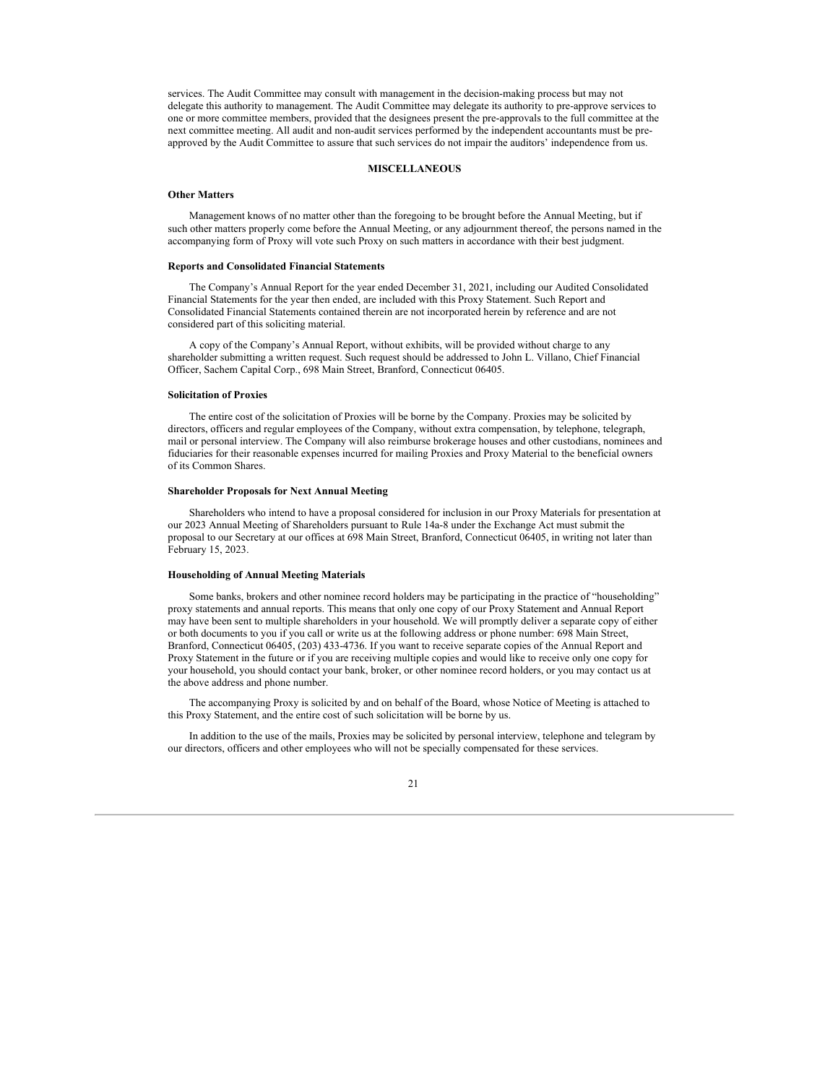services. The Audit Committee may consult with management in the decision-making process but may not delegate this authority to management. The Audit Committee may delegate its authority to pre-approve services to one or more committee members, provided that the designees present the pre-approvals to the full committee at the next committee meeting. All audit and non-audit services performed by the independent accountants must be preapproved by the Audit Committee to assure that such services do not impair the auditors' independence from us.

### **MISCELLANEOUS**

### **Other Matters**

Management knows of no matter other than the foregoing to be brought before the Annual Meeting, but if such other matters properly come before the Annual Meeting, or any adjournment thereof, the persons named in the accompanying form of Proxy will vote such Proxy on such matters in accordance with their best judgment.

#### **Reports and Consolidated Financial Statements**

The Company's Annual Report for the year ended December 31, 2021, including our Audited Consolidated Financial Statements for the year then ended, are included with this Proxy Statement. Such Report and Consolidated Financial Statements contained therein are not incorporated herein by reference and are not considered part of this soliciting material.

A copy of the Company's Annual Report, without exhibits, will be provided without charge to any shareholder submitting a written request. Such request should be addressed to John L. Villano, Chief Financial Officer, Sachem Capital Corp., 698 Main Street, Branford, Connecticut 06405.

## **Solicitation of Proxies**

The entire cost of the solicitation of Proxies will be borne by the Company. Proxies may be solicited by directors, officers and regular employees of the Company, without extra compensation, by telephone, telegraph, mail or personal interview. The Company will also reimburse brokerage houses and other custodians, nominees and fiduciaries for their reasonable expenses incurred for mailing Proxies and Proxy Material to the beneficial owners of its Common Shares.

#### **Shareholder Proposals for Next Annual Meeting**

Shareholders who intend to have a proposal considered for inclusion in our Proxy Materials for presentation at our 2023 Annual Meeting of Shareholders pursuant to Rule 14a-8 under the Exchange Act must submit the proposal to our Secretary at our offices at 698 Main Street, Branford, Connecticut 06405, in writing not later than February 15, 2023.

### **Householding of Annual Meeting Materials**

Some banks, brokers and other nominee record holders may be participating in the practice of "householding" proxy statements and annual reports. This means that only one copy of our Proxy Statement and Annual Report may have been sent to multiple shareholders in your household. We will promptly deliver a separate copy of either or both documents to you if you call or write us at the following address or phone number: 698 Main Street, Branford, Connecticut 06405, (203) 433-4736. If you want to receive separate copies of the Annual Report and Proxy Statement in the future or if you are receiving multiple copies and would like to receive only one copy for your household, you should contact your bank, broker, or other nominee record holders, or you may contact us at the above address and phone number.

The accompanying Proxy is solicited by and on behalf of the Board, whose Notice of Meeting is attached to this Proxy Statement, and the entire cost of such solicitation will be borne by us.

In addition to the use of the mails, Proxies may be solicited by personal interview, telephone and telegram by our directors, officers and other employees who will not be specially compensated for these services.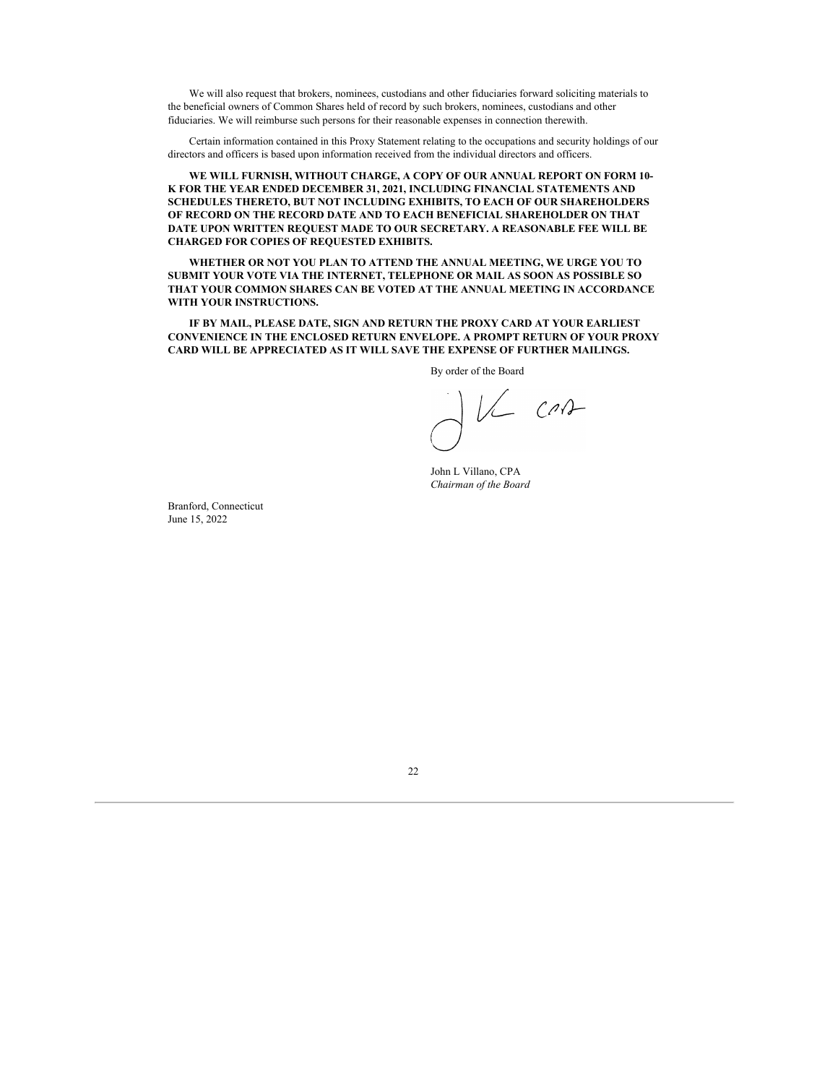We will also request that brokers, nominees, custodians and other fiduciaries forward soliciting materials to the beneficial owners of Common Shares held of record by such brokers, nominees, custodians and other fiduciaries. We will reimburse such persons for their reasonable expenses in connection therewith.

Certain information contained in this Proxy Statement relating to the occupations and security holdings of our directors and officers is based upon information received from the individual directors and officers.

**WE WILL FURNISH, WITHOUT CHARGE, A COPY OF OUR ANNUAL REPORT ON FORM 10- K FOR THE YEAR ENDED DECEMBER 31, 2021, INCLUDING FINANCIAL STATEMENTS AND SCHEDULES THERETO, BUT NOT INCLUDING EXHIBITS, TO EACH OF OUR SHAREHOLDERS OF RECORD ON THE RECORD DATE AND TO EACH BENEFICIAL SHAREHOLDER ON THAT DATE UPON WRITTEN REQUEST MADE TO OUR SECRETARY. A REASONABLE FEE WILL BE CHARGED FOR COPIES OF REQUESTED EXHIBITS.**

**WHETHER OR NOT YOU PLAN TO ATTEND THE ANNUAL MEETING, WE URGE YOU TO SUBMIT YOUR VOTE VIA THE INTERNET, TELEPHONE OR MAIL AS SOON AS POSSIBLE SO THAT YOUR COMMON SHARES CAN BE VOTED AT THE ANNUAL MEETING IN ACCORDANCE WITH YOUR INSTRUCTIONS.**

**IF BY MAIL, PLEASE DATE, SIGN AND RETURN THE PROXY CARD AT YOUR EARLIEST CONVENIENCE IN THE ENCLOSED RETURN ENVELOPE. A PROMPT RETURN OF YOUR PROXY CARD WILL BE APPRECIATED AS IT WILL SAVE THE EXPENSE OF FURTHER MAILINGS.**

By order of the Board

VL CAR

John L Villano, CPA *Chairman of the Board*

Branford, Connecticut June 15, 2022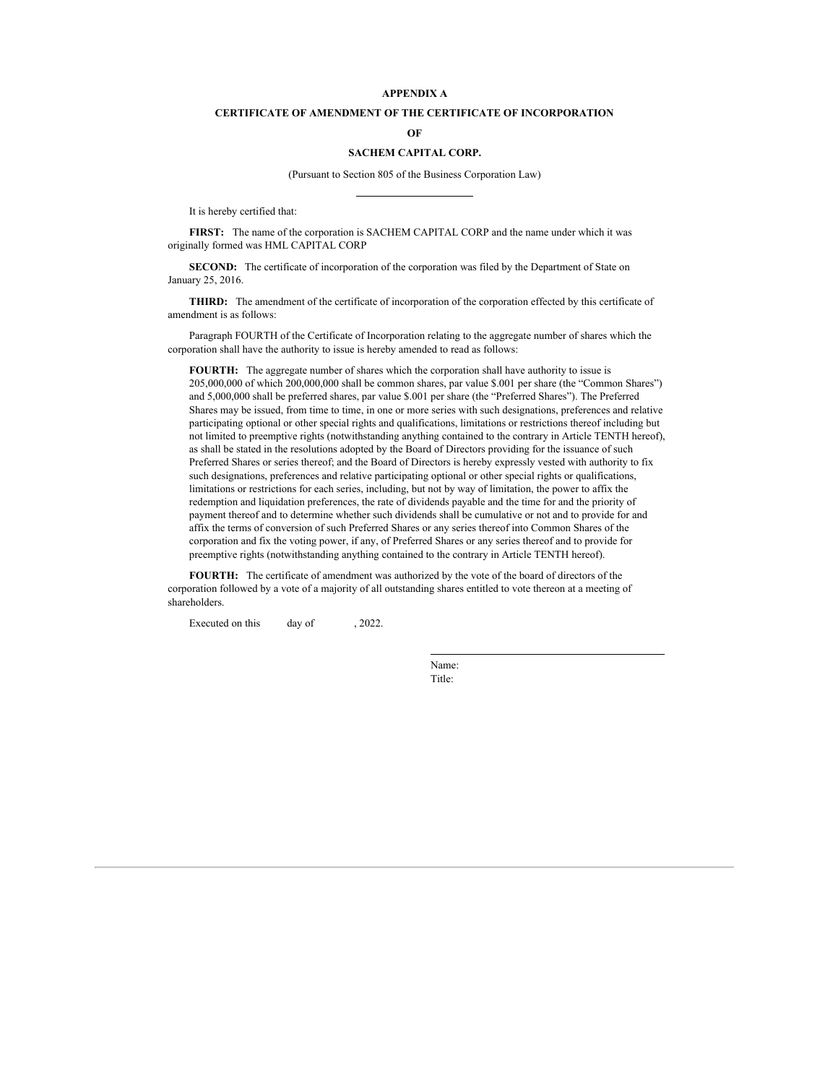## **APPENDIX A**

## **CERTIFICATE OF AMENDMENT OF THE CERTIFICATE OF INCORPORATION**

**OF**

## **SACHEM CAPITAL CORP.**

(Pursuant to Section 805 of the Business Corporation Law)

It is hereby certified that:

**FIRST:** The name of the corporation is SACHEM CAPITAL CORP and the name under which it was originally formed was HML CAPITAL CORP

**SECOND:** The certificate of incorporation of the corporation was filed by the Department of State on January 25, 2016.

**THIRD:** The amendment of the certificate of incorporation of the corporation effected by this certificate of amendment is as follows:

Paragraph FOURTH of the Certificate of Incorporation relating to the aggregate number of shares which the corporation shall have the authority to issue is hereby amended to read as follows:

**FOURTH:** The aggregate number of shares which the corporation shall have authority to issue is 205,000,000 of which 200,000,000 shall be common shares, par value \$.001 per share (the "Common Shares") and 5,000,000 shall be preferred shares, par value \$.001 per share (the "Preferred Shares"). The Preferred Shares may be issued, from time to time, in one or more series with such designations, preferences and relative participating optional or other special rights and qualifications, limitations or restrictions thereof including but not limited to preemptive rights (notwithstanding anything contained to the contrary in Article TENTH hereof), as shall be stated in the resolutions adopted by the Board of Directors providing for the issuance of such Preferred Shares or series thereof; and the Board of Directors is hereby expressly vested with authority to fix such designations, preferences and relative participating optional or other special rights or qualifications, limitations or restrictions for each series, including, but not by way of limitation, the power to affix the redemption and liquidation preferences, the rate of dividends payable and the time for and the priority of payment thereof and to determine whether such dividends shall be cumulative or not and to provide for and affix the terms of conversion of such Preferred Shares or any series thereof into Common Shares of the corporation and fix the voting power, if any, of Preferred Shares or any series thereof and to provide for preemptive rights (notwithstanding anything contained to the contrary in Article TENTH hereof).

**FOURTH:** The certificate of amendment was authorized by the vote of the board of directors of the corporation followed by a vote of a majority of all outstanding shares entitled to vote thereon at a meeting of shareholders.

Executed on this day of , 2022.

Name: Title: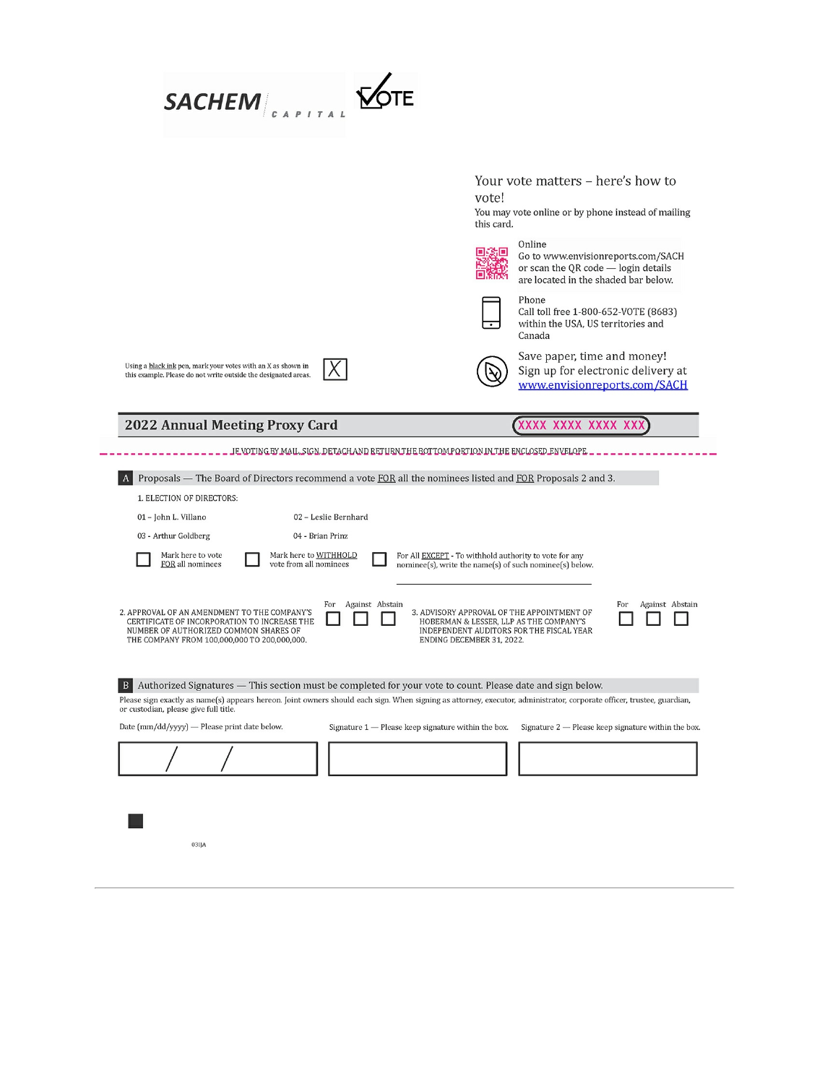|                                                                                                                                                                                       |                                                     | Your vote matters - here's how to<br>vote!                                                                                                                                                                                    |
|---------------------------------------------------------------------------------------------------------------------------------------------------------------------------------------|-----------------------------------------------------|-------------------------------------------------------------------------------------------------------------------------------------------------------------------------------------------------------------------------------|
|                                                                                                                                                                                       |                                                     | You may vote online or by phone instead of mailing<br>this card.                                                                                                                                                              |
|                                                                                                                                                                                       |                                                     | Online<br>Go to www.envisionreports.com/SACH<br>or scan the QR code - login details<br>are located in the shaded bar below.                                                                                                   |
|                                                                                                                                                                                       |                                                     | Phone<br>Call toll free 1-800-652-VOTE (8683)<br>within the USA, US territories and<br>Canada                                                                                                                                 |
| Using a black ink pen, mark your votes with an X as shown in<br>this example. Please do not write outside the designated areas.                                                       |                                                     | Save paper, time and money!<br>Sign up for electronic delivery at<br>www.envisionreports.com/SACH                                                                                                                             |
| <b>2022 Annual Meeting Proxy Card</b>                                                                                                                                                 |                                                     | XXXX XXXX XXXX XXX                                                                                                                                                                                                            |
|                                                                                                                                                                                       |                                                     | JE VOTING BY MAIL, SIGN, DETACHAND RETURNTHE BOTTOM PORTION IN THE ENCLOSED ENVELOPE                                                                                                                                          |
| A                                                                                                                                                                                     |                                                     | Proposals — The Board of Directors recommend a vote FOR all the nominees listed and FOR Proposals 2 and 3.                                                                                                                    |
| 1. ELECTION OF DIRECTORS:                                                                                                                                                             |                                                     |                                                                                                                                                                                                                               |
| 01 - John L. Villano                                                                                                                                                                  | 02 - Leslie Bernhard                                |                                                                                                                                                                                                                               |
|                                                                                                                                                                                       | 04 - Brian Prinz                                    |                                                                                                                                                                                                                               |
| 03 - Arthur Goldberg                                                                                                                                                                  |                                                     | For All <b>EXCEPT</b> - To withhold authority to vote for any                                                                                                                                                                 |
| Mark here to vote<br>FOR all nominees                                                                                                                                                 | Mark here to WITHHOLD<br>vote from all nominees     | nominee(s), write the name(s) of such nominee(s) below.                                                                                                                                                                       |
| 2. APPROVAL OF AN AMENDMENT TO THE COMPANY'S<br>CERTIFICATE OF INCORPORATION TO INCREASE THE<br>NUMBER OF AUTHORIZED COMMON SHARES OF<br>THE COMPANY FROM 100,000,000 TO 200,000,000. | Against Abstain<br>For                              | For<br>Against Abstain<br>3. ADVISORY APPROVAL OF THE APPOINTMENT OF<br>HOBERMAN & LESSER, LLP AS THE COMPANY'S<br>INDEPENDENT AUDITORS FOR THE FISCAL YEAR<br>ENDING DECEMBER 31, 2022.                                      |
|                                                                                                                                                                                       |                                                     |                                                                                                                                                                                                                               |
| B                                                                                                                                                                                     |                                                     | Authorized Signatures - This section must be completed for your vote to count. Please date and sign below.                                                                                                                    |
| or custodian, please give full title.<br>Date (mm/dd/yyyy) - Please print date below.                                                                                                 | Signature 1 - Please keep signature within the box. | Please sign exactly as name(s) appears hereon. Joint owners should each sign. When signing as attorney, executor, administrator, corporate officer, trustee, guardian,<br>Signature 2 - Please keep signature within the box. |
|                                                                                                                                                                                       |                                                     |                                                                                                                                                                                                                               |